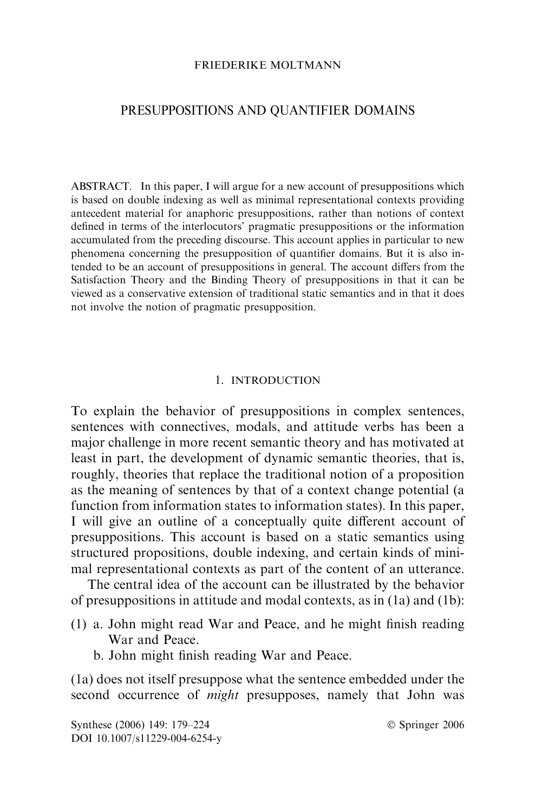#### FRIEDERIKE MOLTMANN

### PRESUPPOSITIONS AND QUANTIFIER DOMAINS

ABSTRACT. In this paper, I will argue for a new account of presuppositions which is based on double indexing as well as minimal representational contexts providing antecedent material for anaphoric presuppositions, rather than notions of context defined in terms of the interlocutors' pragmatic presuppositions or the information accumulated from the preceding discourse. This account applies in particular to new phenomena concerning the presupposition of quantifier domains. But it is also intended to be an account of presuppositions in general. The account differs from the Satisfaction Theory and the Binding Theory of presuppositions in that it can be viewed as a conservative extension of traditional static semantics and in that it does not involve the notion of pragmatic presupposition.

### 1. INTRODUCTION

To explain the behavior of presuppositions in complex sentences, sentences with connectives, modals, and attitude verbs has been a major challenge in more recent semantic theory and has motivated at least in part, the development of dynamic semantic theories, that is, roughly, theories that replace the traditional notion of a proposition as the meaning of sentences by that of a context change potential (a function from information states to information states). In this paper, I will give an outline of a conceptually quite different account of presuppositions. This account is based on a static semantics using structured propositions, double indexing, and certain kinds of minimal representational contexts as part of the content of an utterance.

The central idea of the account can be illustrated by the behavior of presuppositions in attitude and modal contexts, as in (1a) and (1b):

- (1) a. John might read War and Peace, and he might finish reading War and Peace.
	- b. John might finish reading War and Peace.

(1a) does not itself presuppose what the sentence embedded under the second occurrence of *might* presupposes, namely that John was

Synthese (2006) 149: 179–224 Springer 2006 DOI 10.1007/s11229-004-6254-y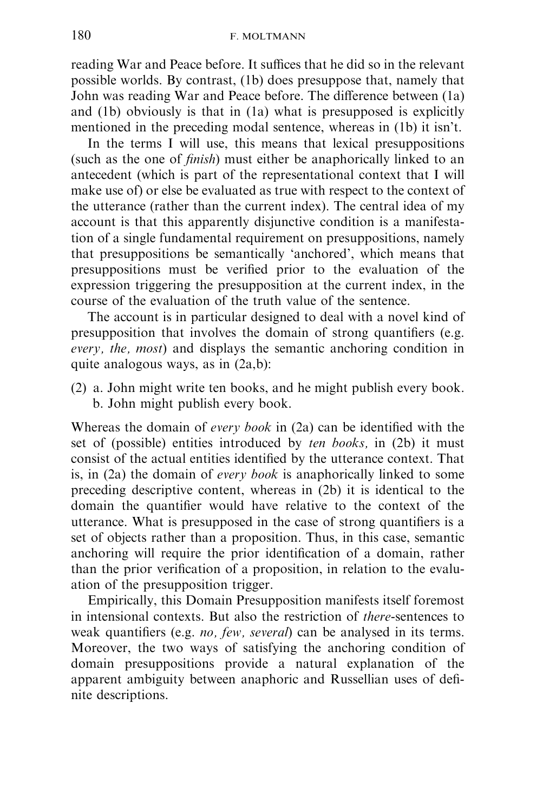reading War and Peace before. It suffices that he did so in the relevant possible worlds. By contrast, (1b) does presuppose that, namely that John was reading War and Peace before. The difference between (1a) and (1b) obviously is that in (1a) what is presupposed is explicitly mentioned in the preceding modal sentence, whereas in (1b) it isn't.

In the terms I will use, this means that lexical presuppositions (such as the one of finish) must either be anaphorically linked to an antecedent (which is part of the representational context that I will make use of) or else be evaluated as true with respect to the context of the utterance (rather than the current index). The central idea of my account is that this apparently disjunctive condition is a manifestation of a single fundamental requirement on presuppositions, namely that presuppositions be semantically 'anchored', which means that presuppositions must be verified prior to the evaluation of the expression triggering the presupposition at the current index, in the course of the evaluation of the truth value of the sentence.

The account is in particular designed to deal with a novel kind of presupposition that involves the domain of strong quantifiers (e.g. every, the, most) and displays the semantic anchoring condition in quite analogous ways, as in (2a,b):

(2) a. John might write ten books, and he might publish every book. b. John might publish every book.

Whereas the domain of *every book* in (2a) can be identified with the set of (possible) entities introduced by ten books, in (2b) it must consist of the actual entities identified by the utterance context. That is, in (2a) the domain of every book is anaphorically linked to some preceding descriptive content, whereas in (2b) it is identical to the domain the quantifier would have relative to the context of the utterance. What is presupposed in the case of strong quantifiers is a set of objects rather than a proposition. Thus, in this case, semantic anchoring will require the prior identification of a domain, rather than the prior verification of a proposition, in relation to the evaluation of the presupposition trigger.

Empirically, this Domain Presupposition manifests itself foremost in intensional contexts. But also the restriction of there-sentences to weak quantifiers (e.g. *no*, *few*, *several*) can be analysed in its terms. Moreover, the two ways of satisfying the anchoring condition of domain presuppositions provide a natural explanation of the apparent ambiguity between anaphoric and Russellian uses of definite descriptions.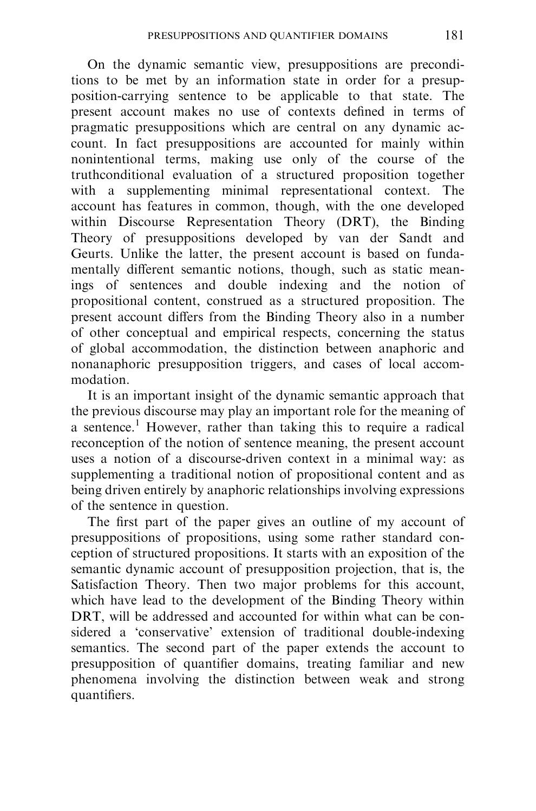On the dynamic semantic view, presuppositions are preconditions to be met by an information state in order for a presupposition-carrying sentence to be applicable to that state. The present account makes no use of contexts defined in terms of pragmatic presuppositions which are central on any dynamic account. In fact presuppositions are accounted for mainly within nonintentional terms, making use only of the course of the truthconditional evaluation of a structured proposition together with a supplementing minimal representational context. The account has features in common, though, with the one developed within Discourse Representation Theory (DRT), the Binding Theory of presuppositions developed by van der Sandt and Geurts. Unlike the latter, the present account is based on fundamentally different semantic notions, though, such as static meanings of sentences and double indexing and the notion of propositional content, construed as a structured proposition. The present account differs from the Binding Theory also in a number of other conceptual and empirical respects, concerning the status of global accommodation, the distinction between anaphoric and nonanaphoric presupposition triggers, and cases of local accommodation.

It is an important insight of the dynamic semantic approach that the previous discourse may play an important role for the meaning of a sentence.<sup>1</sup> However, rather than taking this to require a radical reconception of the notion of sentence meaning, the present account uses a notion of a discourse-driven context in a minimal way: as supplementing a traditional notion of propositional content and as being driven entirely by anaphoric relationships involving expressions of the sentence in question.

The first part of the paper gives an outline of my account of presuppositions of propositions, using some rather standard conception of structured propositions. It starts with an exposition of the semantic dynamic account of presupposition projection, that is, the Satisfaction Theory. Then two major problems for this account, which have lead to the development of the Binding Theory within DRT, will be addressed and accounted for within what can be considered a 'conservative' extension of traditional double-indexing semantics. The second part of the paper extends the account to presupposition of quantifier domains, treating familiar and new phenomena involving the distinction between weak and strong quantifiers.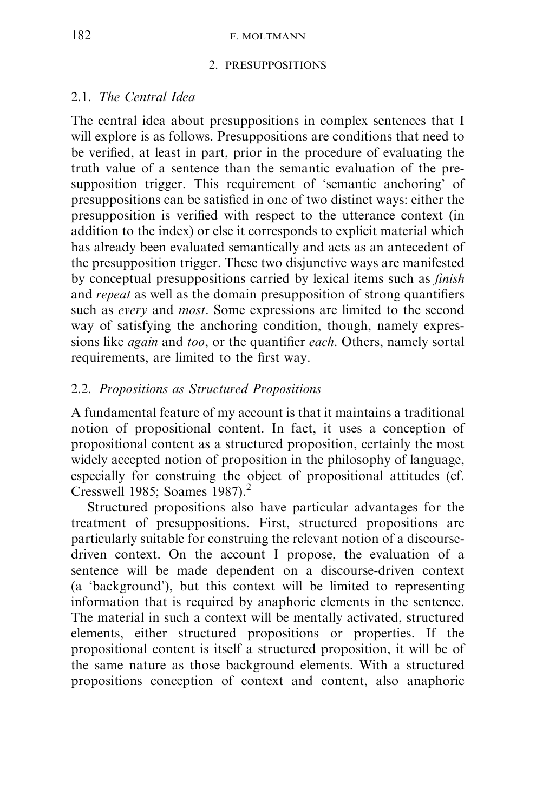#### 2. PRESUPPOSITIONS

## 2.1. The Central Idea

The central idea about presuppositions in complex sentences that I will explore is as follows. Presuppositions are conditions that need to be verified, at least in part, prior in the procedure of evaluating the truth value of a sentence than the semantic evaluation of the presupposition trigger. This requirement of 'semantic anchoring' of presuppositions can be satisfied in one of two distinct ways: either the presupposition is verified with respect to the utterance context (in addition to the index) or else it corresponds to explicit material which has already been evaluated semantically and acts as an antecedent of the presupposition trigger. These two disjunctive ways are manifested by conceptual presuppositions carried by lexical items such as finish and repeat as well as the domain presupposition of strong quantifiers such as *every* and *most*. Some expressions are limited to the second way of satisfying the anchoring condition, though, namely expressions like *again* and *too*, or the quantifier *each*. Others, namely sortal requirements, are limited to the first way.

## 2.2. Propositions as Structured Propositions

A fundamental feature of my account is that it maintains a traditional notion of propositional content. In fact, it uses a conception of propositional content as a structured proposition, certainly the most widely accepted notion of proposition in the philosophy of language, especially for construing the object of propositional attitudes (cf. Cresswell 1985; Soames 1987).<sup>2</sup>

Structured propositions also have particular advantages for the treatment of presuppositions. First, structured propositions are particularly suitable for construing the relevant notion of a discoursedriven context. On the account I propose, the evaluation of a sentence will be made dependent on a discourse-driven context (a 'background'), but this context will be limited to representing information that is required by anaphoric elements in the sentence. The material in such a context will be mentally activated, structured elements, either structured propositions or properties. If the propositional content is itself a structured proposition, it will be of the same nature as those background elements. With a structured propositions conception of context and content, also anaphoric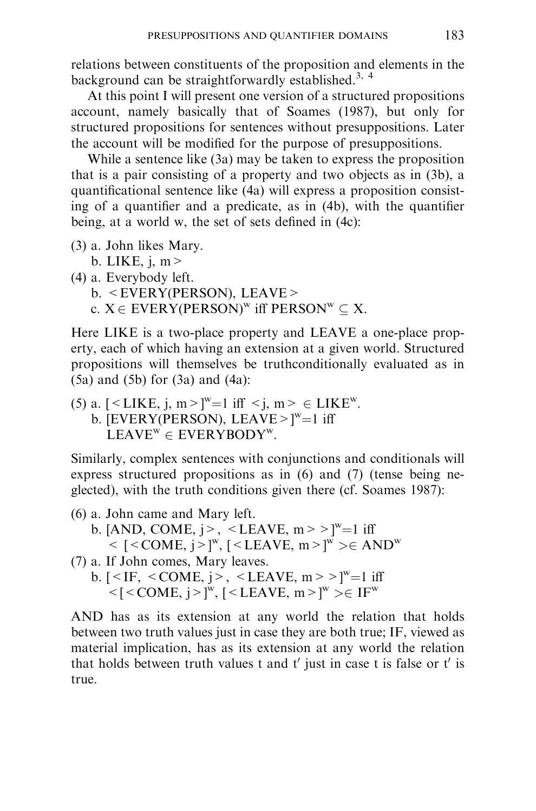relations between constituents of the proposition and elements in the background can be straightforwardly established.<sup>3, 4</sup>

At this point I will present one version of a structured propositions account, namely basically that of Soames (1987), but only for structured propositions for sentences without presuppositions. Later the account will be modified for the purpose of presuppositions.

While a sentence like (3a) may be taken to express the proposition that is a pair consisting of a property and two objects as in (3b), a quantificational sentence like (4a) will express a proposition consisting of a quantifier and a predicate, as in (4b), with the quantifier being, at a world w, the set of sets defined in (4c):

- (3) a. John likes Mary.
	- b. LIKE,  $i, m$
- (4) a. Everybody left.
	- b. <EVERY(PERSON), LEAVE>
	- c.  $X \in$  EVERY(PERSON)<sup>w</sup> iff PERSON<sup>w</sup>  $\subset X$ .

Here LIKE is a two-place property and LEAVE a one-place property, each of which having an extension at a given world. Structured propositions will themselves be truthconditionally evaluated as in (5a) and (5b) for (3a) and (4a):

(5) a.  $[<$  LIKE, j, m >  $]^{w}$  = 1 iff  $\leq$  i, m >  $\in$  LIKE<sup>w</sup>. b.  $[EVERY(PERSON), LEAVE > ]^w=1$  iff  $LEAVE<sup>w</sup> \in EVERYBODY<sup>w</sup>$ .

Similarly, complex sentences with conjunctions and conditionals will express structured propositions as in (6) and (7) (tense being neglected), with the truth conditions given there (cf. Soames 1987):

- (6) a. John came and Mary left.
	- b. [AND, COME,  $j >$ ,  $\leq$  LEAVE,  $m >$ ]<sup>w</sup>=1 iff  $\leq$   $[$  < COME,  $j$  >  $]$ <sup>w</sup>,  $[$  < LEAVE, m >  $]$ <sup>w</sup> > $\in$  AND<sup>w</sup>
- (7) a. If John comes, Mary leaves.
	- b.  $[$ ,  $$ ]<sup>w</sup>=1 iff  $\leq$ [ $\leq$ COME, j $>$ ]<sup>w</sup>, [ $\leq$ LEAVE, m $>$ ]<sup>w</sup>  $\geq$  IF<sup>w</sup>

AND has as its extension at any world the relation that holds between two truth values just in case they are both true; IF, viewed as material implication, has as its extension at any world the relation that holds between truth values t and t' just in case t is false or t' is true.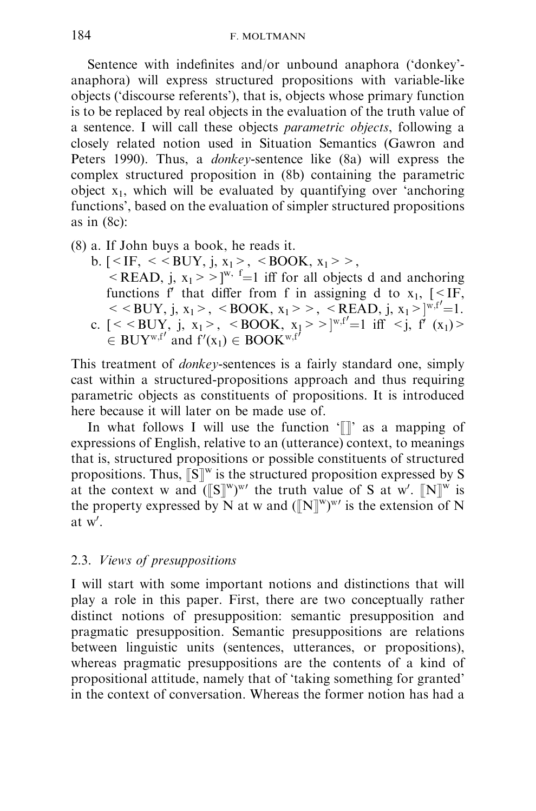Sentence with indefinites and/or unbound anaphora ('donkey' anaphora) will express structured propositions with variable-like objects ('discourse referents'), that is, objects whose primary function is to be replaced by real objects in the evaluation of the truth value of a sentence. I will call these objects parametric objects, following a closely related notion used in Situation Semantics (Gawron and Peters 1990). Thus, a *donkey*-sentence like (8a) will express the complex structured proposition in (8b) containing the parametric object  $x_1$ , which will be evaluated by quantifying over 'anchoring functions', based on the evaluation of simpler structured propositions as in  $(8c)$ :

(8) a. If John buys a book, he reads it.

b.  $[, ,$  $\leq$  READ, j,  $x_1 >$   $\geq$   $\mid$ <sup>w, f</sup> = 1 iff for all objects d and anchoring functions f' that differ from f in assigning d to  $x_1$ ,  $\leq$  IF,  $\leq$  < BUY, j, x<sub>1</sub> >, < BOOK, x<sub>1</sub> > >, < READ, j, x<sub>1</sub> >  $\leq$ <sup>w,f'</sup>=1. c.  $[< BUY, j, x_1>, < BOOK, x_1>]= [if' < j, f'(x_1)$  $\in$  BUY<sup>w,f'</sup> and  $f'(x_1) \in$  BOOK<sup>w,f'</sup>

This treatment of donkey-sentences is a fairly standard one, simply cast within a structured-propositions approach and thus requiring parametric objects as constituents of propositions. It is introduced here because it will later on be made use of.

In what follows I will use the function  $\lceil \cdot \rceil$  as a mapping of expressions of English, relative to an (utterance) context, to meanings that is, structured propositions or possible constituents of structured propositions. Thus,  $\llbracket \mathbf{S} \rrbracket^w$  is the structured proposition expressed by S at the context w and  $(\llbracket S \rrbracket^w)^{w'}$  the truth value of S at w'.  $\llbracket N \rrbracket^w$  is the property expressed by N at w and  $(\llbracket N \rrbracket^w)^{w}$  is the extension of N at  $w'$ .

### 2.3. Views of presuppositions

I will start with some important notions and distinctions that will play a role in this paper. First, there are two conceptually rather distinct notions of presupposition: semantic presupposition and pragmatic presupposition. Semantic presuppositions are relations between linguistic units (sentences, utterances, or propositions), whereas pragmatic presuppositions are the contents of a kind of propositional attitude, namely that of 'taking something for granted' in the context of conversation. Whereas the former notion has had a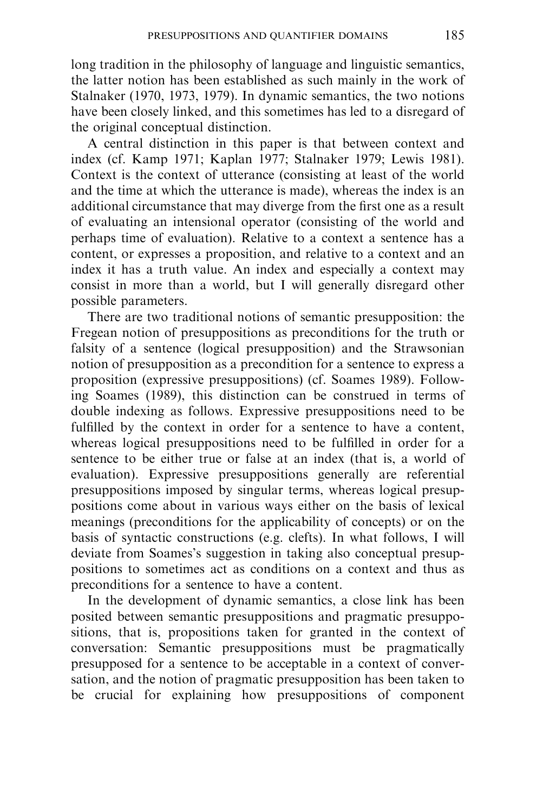long tradition in the philosophy of language and linguistic semantics, the latter notion has been established as such mainly in the work of Stalnaker (1970, 1973, 1979). In dynamic semantics, the two notions have been closely linked, and this sometimes has led to a disregard of the original conceptual distinction.

A central distinction in this paper is that between context and index (cf. Kamp 1971; Kaplan 1977; Stalnaker 1979; Lewis 1981). Context is the context of utterance (consisting at least of the world and the time at which the utterance is made), whereas the index is an additional circumstance that may diverge from the first one as a result of evaluating an intensional operator (consisting of the world and perhaps time of evaluation). Relative to a context a sentence has a content, or expresses a proposition, and relative to a context and an index it has a truth value. An index and especially a context may consist in more than a world, but I will generally disregard other possible parameters.

There are two traditional notions of semantic presupposition: the Fregean notion of presuppositions as preconditions for the truth or falsity of a sentence (logical presupposition) and the Strawsonian notion of presupposition as a precondition for a sentence to express a proposition (expressive presuppositions) (cf. Soames 1989). Following Soames (1989), this distinction can be construed in terms of double indexing as follows. Expressive presuppositions need to be fulfilled by the context in order for a sentence to have a content, whereas logical presuppositions need to be fulfilled in order for a sentence to be either true or false at an index (that is, a world of evaluation). Expressive presuppositions generally are referential presuppositions imposed by singular terms, whereas logical presuppositions come about in various ways either on the basis of lexical meanings (preconditions for the applicability of concepts) or on the basis of syntactic constructions (e.g. clefts). In what follows, I will deviate from Soames's suggestion in taking also conceptual presuppositions to sometimes act as conditions on a context and thus as preconditions for a sentence to have a content.

In the development of dynamic semantics, a close link has been posited between semantic presuppositions and pragmatic presuppositions, that is, propositions taken for granted in the context of conversation: Semantic presuppositions must be pragmatically presupposed for a sentence to be acceptable in a context of conversation, and the notion of pragmatic presupposition has been taken to be crucial for explaining how presuppositions of component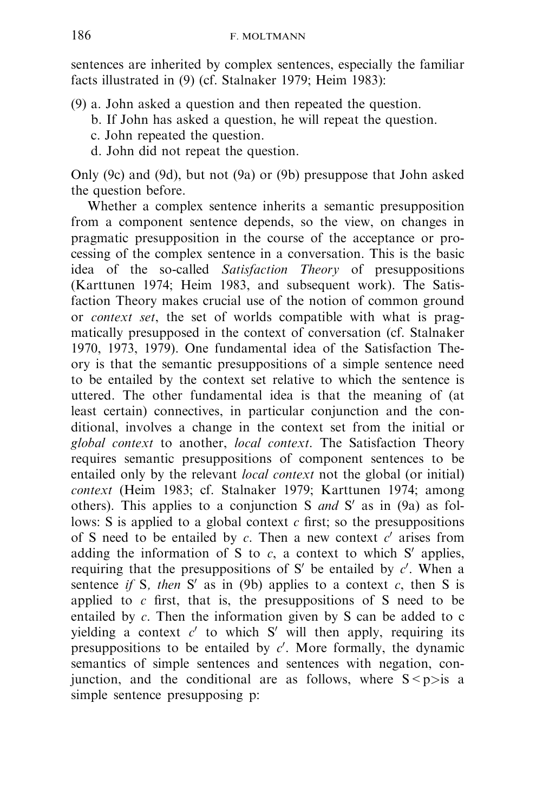sentences are inherited by complex sentences, especially the familiar facts illustrated in (9) (cf. Stalnaker 1979; Heim 1983):

- (9) a. John asked a question and then repeated the question.
	- b. If John has asked a question, he will repeat the question.
	- c. John repeated the question.
	- d. John did not repeat the question.

Only (9c) and (9d), but not (9a) or (9b) presuppose that John asked the question before.

Whether a complex sentence inherits a semantic presupposition from a component sentence depends, so the view, on changes in pragmatic presupposition in the course of the acceptance or processing of the complex sentence in a conversation. This is the basic idea of the so-called Satisfaction Theory of presuppositions (Karttunen 1974; Heim 1983, and subsequent work). The Satisfaction Theory makes crucial use of the notion of common ground or context set, the set of worlds compatible with what is pragmatically presupposed in the context of conversation (cf. Stalnaker 1970, 1973, 1979). One fundamental idea of the Satisfaction Theory is that the semantic presuppositions of a simple sentence need to be entailed by the context set relative to which the sentence is uttered. The other fundamental idea is that the meaning of (at least certain) connectives, in particular conjunction and the conditional, involves a change in the context set from the initial or global context to another, local context. The Satisfaction Theory requires semantic presuppositions of component sentences to be entailed only by the relevant local context not the global (or initial) context (Heim 1983; cf. Stalnaker 1979; Karttunen 1974; among others). This applies to a conjunction S *and* S' as in (9a) as follows: S is applied to a global context  $c$  first; so the presuppositions of S need to be entailed by c. Then a new context  $c'$  arises from adding the information of S to  $c$ , a context to which S' applies, requiring that the presuppositions of S' be entailed by  $c'$ . When a sentence if S, then S' as in (9b) applies to a context c, then S is applied to  $c$  first, that is, the presuppositions of S need to be entailed by c. Then the information given by S can be added to c yielding a context  $c'$  to which S' will then apply, requiring its presuppositions to be entailed by  $c'$ . More formally, the dynamic semantics of simple sentences and sentences with negation, conjunction, and the conditional are as follows, where  $S < p >$  is a simple sentence presupposing p: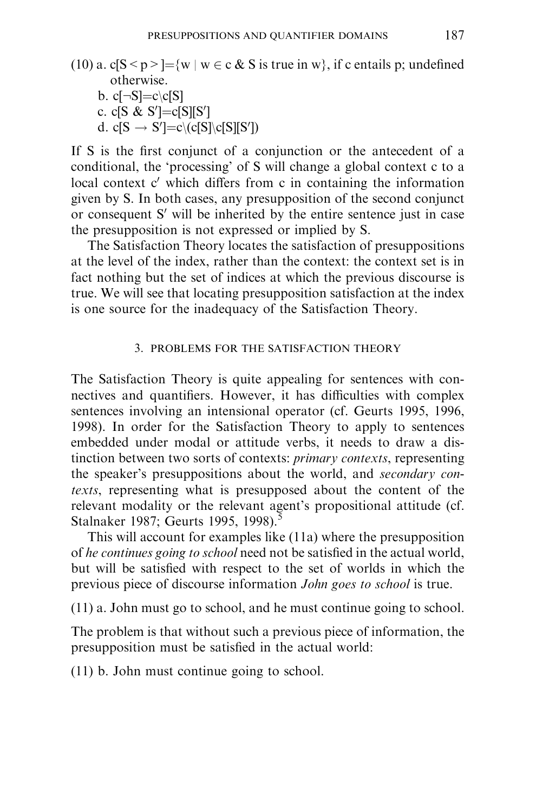- (10) a.  $c[S \le p] = \{w | w \in c \& S \text{ is true in } w\}$ , if c entails p; undefined otherwise. b.  $c[\neg S]=c\ c[S]$ c. c[S & S']=c[S][S']
	- d. c[S  $\rightarrow$  S']=c\(c[S]\c[S][S'])

If S is the first conjunct of a conjunction or the antecedent of a conditional, the 'processing' of S will change a global context c to a local context  $c'$  which differs from c in containing the information given by S. In both cases, any presupposition of the second conjunct or consequent  $S'$  will be inherited by the entire sentence just in case the presupposition is not expressed or implied by S.

The Satisfaction Theory locates the satisfaction of presuppositions at the level of the index, rather than the context: the context set is in fact nothing but the set of indices at which the previous discourse is true. We will see that locating presupposition satisfaction at the index is one source for the inadequacy of the Satisfaction Theory.

### 3. PROBLEMS FOR THE SATISFACTION THEORY

The Satisfaction Theory is quite appealing for sentences with connectives and quantifiers. However, it has difficulties with complex sentences involving an intensional operator (cf. Geurts 1995, 1996, 1998). In order for the Satisfaction Theory to apply to sentences embedded under modal or attitude verbs, it needs to draw a distinction between two sorts of contexts: primary contexts, representing the speaker's presuppositions about the world, and secondary contexts, representing what is presupposed about the content of the relevant modality or the relevant agent's propositional attitude (cf. Stalnaker 1987; Geurts 1995, 1998).<sup>5</sup>

This will account for examples like (11a) where the presupposition of he continues going to school need not be satisfied in the actual world, but will be satisfied with respect to the set of worlds in which the previous piece of discourse information John goes to school is true.

(11) a. John must go to school, and he must continue going to school.

The problem is that without such a previous piece of information, the presupposition must be satisfied in the actual world:

(11) b. John must continue going to school.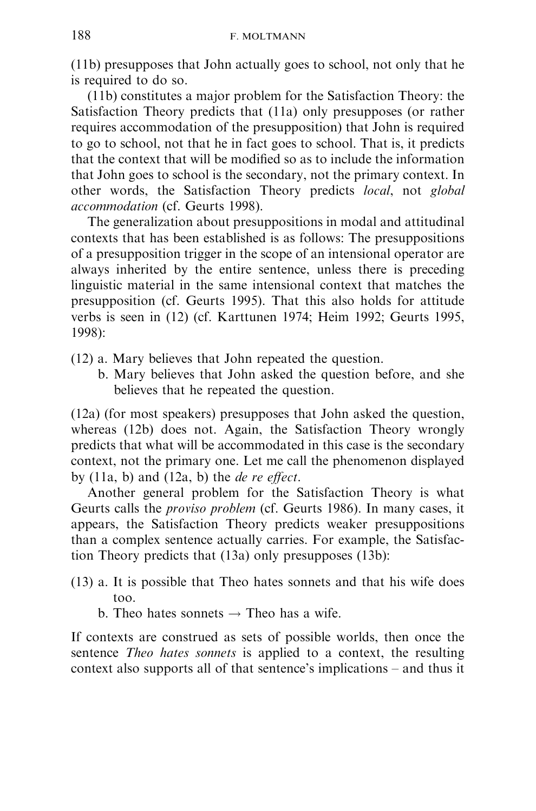(11b) presupposes that John actually goes to school, not only that he is required to do so.

(11b) constitutes a major problem for the Satisfaction Theory: the Satisfaction Theory predicts that (11a) only presupposes (or rather requires accommodation of the presupposition) that John is required to go to school, not that he in fact goes to school. That is, it predicts that the context that will be modified so as to include the information that John goes to school is the secondary, not the primary context. In other words, the Satisfaction Theory predicts *local*, not global accommodation (cf. Geurts 1998).

The generalization about presuppositions in modal and attitudinal contexts that has been established is as follows: The presuppositions of a presupposition trigger in the scope of an intensional operator are always inherited by the entire sentence, unless there is preceding linguistic material in the same intensional context that matches the presupposition (cf. Geurts 1995). That this also holds for attitude verbs is seen in (12) (cf. Karttunen 1974; Heim 1992; Geurts 1995, 1998):

- (12) a. Mary believes that John repeated the question.
	- b. Mary believes that John asked the question before, and she believes that he repeated the question.

(12a) (for most speakers) presupposes that John asked the question, whereas (12b) does not. Again, the Satisfaction Theory wrongly predicts that what will be accommodated in this case is the secondary context, not the primary one. Let me call the phenomenon displayed by  $(11a, b)$  and  $(12a, b)$  the *de re effect*.

Another general problem for the Satisfaction Theory is what Geurts calls the proviso problem (cf. Geurts 1986). In many cases, it appears, the Satisfaction Theory predicts weaker presuppositions than a complex sentence actually carries. For example, the Satisfaction Theory predicts that (13a) only presupposes (13b):

- (13) a. It is possible that Theo hates sonnets and that his wife does too.
	- b. Theo hates sonnets  $\rightarrow$  Theo has a wife.

If contexts are construed as sets of possible worlds, then once the sentence Theo hates sonnets is applied to a context, the resulting context also supports all of that sentence's implications – and thus it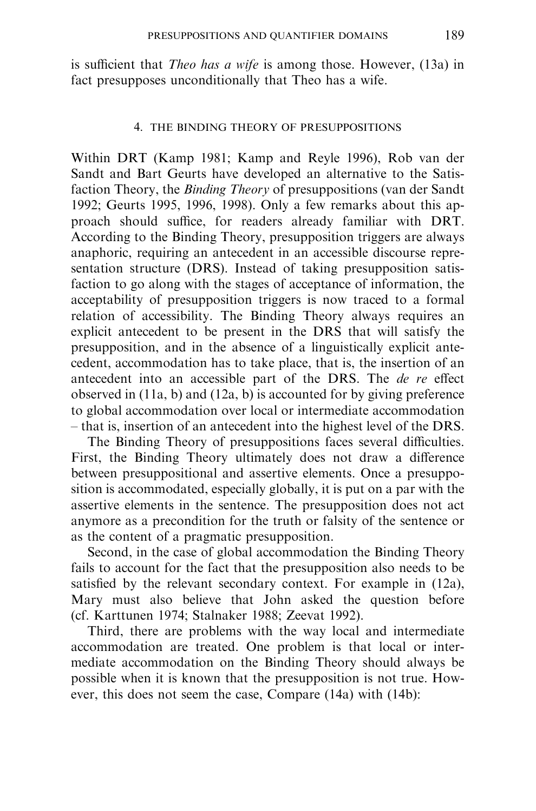is sufficient that Theo has a wife is among those. However, (13a) in fact presupposes unconditionally that Theo has a wife.

#### 4. THE BINDING THEORY OF PRESUPPOSITIONS

Within DRT (Kamp 1981; Kamp and Reyle 1996), Rob van der Sandt and Bart Geurts have developed an alternative to the Satisfaction Theory, the Binding Theory of presuppositions (van der Sandt 1992; Geurts 1995, 1996, 1998). Only a few remarks about this approach should suffice, for readers already familiar with DRT. According to the Binding Theory, presupposition triggers are always anaphoric, requiring an antecedent in an accessible discourse representation structure (DRS). Instead of taking presupposition satisfaction to go along with the stages of acceptance of information, the acceptability of presupposition triggers is now traced to a formal relation of accessibility. The Binding Theory always requires an explicit antecedent to be present in the DRS that will satisfy the presupposition, and in the absence of a linguistically explicit antecedent, accommodation has to take place, that is, the insertion of an antecedent into an accessible part of the DRS. The de re effect observed in (11a, b) and (12a, b) is accounted for by giving preference to global accommodation over local or intermediate accommodation – that is, insertion of an antecedent into the highest level of the DRS.

The Binding Theory of presuppositions faces several difficulties. First, the Binding Theory ultimately does not draw a difference between presuppositional and assertive elements. Once a presupposition is accommodated, especially globally, it is put on a par with the assertive elements in the sentence. The presupposition does not act anymore as a precondition for the truth or falsity of the sentence or as the content of a pragmatic presupposition.

Second, in the case of global accommodation the Binding Theory fails to account for the fact that the presupposition also needs to be satisfied by the relevant secondary context. For example in (12a), Mary must also believe that John asked the question before (cf. Karttunen 1974; Stalnaker 1988; Zeevat 1992).

Third, there are problems with the way local and intermediate accommodation are treated. One problem is that local or intermediate accommodation on the Binding Theory should always be possible when it is known that the presupposition is not true. However, this does not seem the case, Compare (14a) with (14b):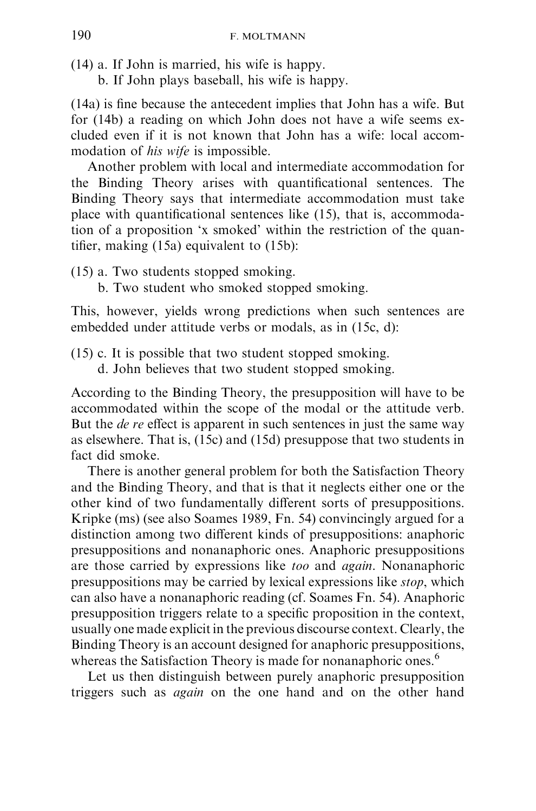(14) a. If John is married, his wife is happy.

b. If John plays baseball, his wife is happy.

(14a) is fine because the antecedent implies that John has a wife. But for (14b) a reading on which John does not have a wife seems excluded even if it is not known that John has a wife: local accommodation of *his wife* is impossible.

Another problem with local and intermediate accommodation for the Binding Theory arises with quantificational sentences. The Binding Theory says that intermediate accommodation must take place with quantificational sentences like (15), that is, accommodation of a proposition 'x smoked' within the restriction of the quantifier, making (15a) equivalent to (15b):

(15) a. Two students stopped smoking.

b. Two student who smoked stopped smoking.

This, however, yields wrong predictions when such sentences are embedded under attitude verbs or modals, as in (15c, d):

(15) c. It is possible that two student stopped smoking.

d. John believes that two student stopped smoking.

According to the Binding Theory, the presupposition will have to be accommodated within the scope of the modal or the attitude verb. But the *de re* effect is apparent in such sentences in just the same way as elsewhere. That is, (15c) and (15d) presuppose that two students in fact did smoke.

There is another general problem for both the Satisfaction Theory and the Binding Theory, and that is that it neglects either one or the other kind of two fundamentally different sorts of presuppositions. Kripke (ms) (see also Soames 1989, Fn. 54) convincingly argued for a distinction among two different kinds of presuppositions: anaphoric presuppositions and nonanaphoric ones. Anaphoric presuppositions are those carried by expressions like too and again. Nonanaphoric presuppositions may be carried by lexical expressions like stop, which can also have a nonanaphoric reading (cf. Soames Fn. 54). Anaphoric presupposition triggers relate to a specific proposition in the context, usually one made explicit in the previous discourse context. Clearly, the Binding Theory is an account designed for anaphoric presuppositions, whereas the Satisfaction Theory is made for nonanaphoric ones.<sup>6</sup>

Let us then distinguish between purely anaphoric presupposition triggers such as again on the one hand and on the other hand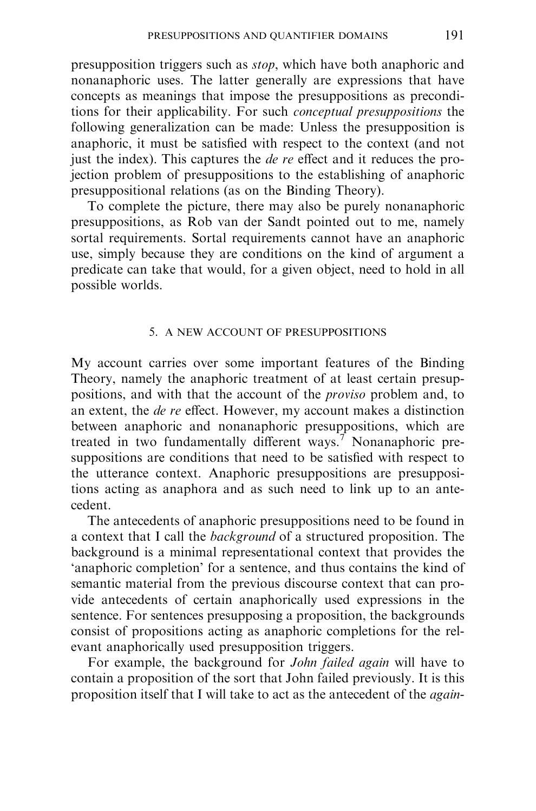presupposition triggers such as stop, which have both anaphoric and nonanaphoric uses. The latter generally are expressions that have concepts as meanings that impose the presuppositions as preconditions for their applicability. For such conceptual presuppositions the following generalization can be made: Unless the presupposition is anaphoric, it must be satisfied with respect to the context (and not just the index). This captures the *de re* effect and it reduces the projection problem of presuppositions to the establishing of anaphoric presuppositional relations (as on the Binding Theory).

To complete the picture, there may also be purely nonanaphoric presuppositions, as Rob van der Sandt pointed out to me, namely sortal requirements. Sortal requirements cannot have an anaphoric use, simply because they are conditions on the kind of argument a predicate can take that would, for a given object, need to hold in all possible worlds.

### 5. A NEW ACCOUNT OF PRESUPPOSITIONS

My account carries over some important features of the Binding Theory, namely the anaphoric treatment of at least certain presuppositions, and with that the account of the proviso problem and, to an extent, the de re effect. However, my account makes a distinction between anaphoric and nonanaphoric presuppositions, which are treated in two fundamentally different ways.7 Nonanaphoric presuppositions are conditions that need to be satisfied with respect to the utterance context. Anaphoric presuppositions are presuppositions acting as anaphora and as such need to link up to an antecedent.

The antecedents of anaphoric presuppositions need to be found in a context that I call the background of a structured proposition. The background is a minimal representational context that provides the 'anaphoric completion' for a sentence, and thus contains the kind of semantic material from the previous discourse context that can provide antecedents of certain anaphorically used expressions in the sentence. For sentences presupposing a proposition, the backgrounds consist of propositions acting as anaphoric completions for the relevant anaphorically used presupposition triggers.

For example, the background for John failed again will have to contain a proposition of the sort that John failed previously. It is this proposition itself that I will take to act as the antecedent of the again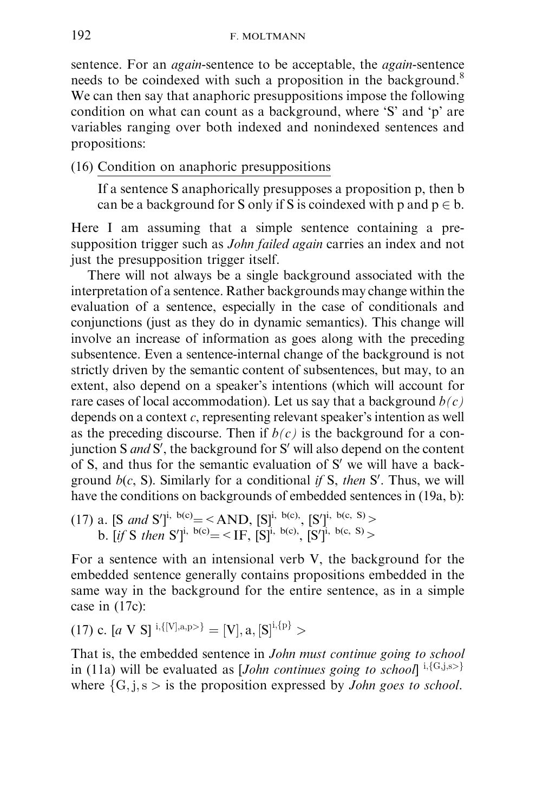sentence. For an *again*-sentence to be acceptable, the *again*-sentence needs to be coindexed with such a proposition in the background.<sup>8</sup> We can then say that anaphoric presuppositions impose the following condition on what can count as a background, where 'S' and 'p' are variables ranging over both indexed and nonindexed sentences and propositions:

## (16) Condition on anaphoric presuppositions

If a sentence S anaphorically presupposes a proposition p, then b can be a background for S only if S is coindexed with p and  $p \in b$ .

Here I am assuming that a simple sentence containing a presupposition trigger such as *John failed again* carries an index and not just the presupposition trigger itself.

There will not always be a single background associated with the interpretation of a sentence. Rather backgrounds may change within the evaluation of a sentence, especially in the case of conditionals and conjunctions (just as they do in dynamic semantics). This change will involve an increase of information as goes along with the preceding subsentence. Even a sentence-internal change of the background is not strictly driven by the semantic content of subsentences, but may, to an extent, also depend on a speaker's intentions (which will account for rare cases of local accommodation). Let us say that a background  $b(c)$ depends on a context c, representing relevant speaker's intention as well as the preceding discourse. Then if  $b(c)$  is the background for a conjunction S and S', the background for S' will also depend on the content of S, and thus for the semantic evaluation of S' we will have a background  $b(c, S)$ . Similarly for a conditional if S, then S'. Thus, we will have the conditions on backgrounds of embedded sentences in (19a, b):

(17) a. [S and S<sup>0</sup> ] i, b(c)¼<AND, [S]i, b(c),, [S<sup>0</sup> ] i, b(c, S)> b. [if S then S<sup>0</sup> ] i, b(c)¼<IF, [S]i, b(c),, [S<sup>0</sup> ] i, b(c, S)>

For a sentence with an intensional verb V, the background for the embedded sentence generally contains propositions embedded in the same way in the background for the entire sentence, as in a simple case in (17c):

(17) c. [a V S] <sup>i</sup>;f½V-;a;p><sup>g</sup> ¼ ½V-; a; ½S<sup>i</sup>;fp<sup>g</sup> >

That is, the embedded sentence in John must continue going to school in (11a) will be evaluated as [*John continues going to school*]  $^{i,\{G,j,s>\}}$ where  $\{G, j, s > i\}$  is the proposition expressed by *John goes to school.*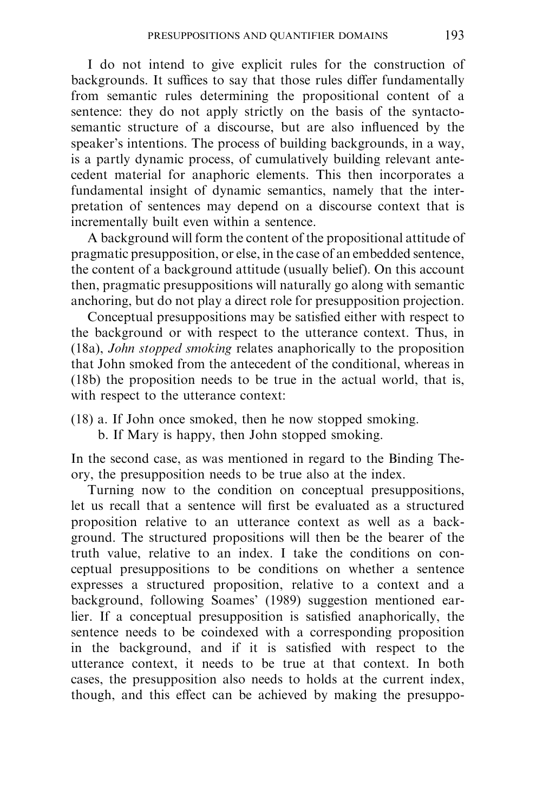I do not intend to give explicit rules for the construction of backgrounds. It suffices to say that those rules differ fundamentally from semantic rules determining the propositional content of a sentence: they do not apply strictly on the basis of the syntactosemantic structure of a discourse, but are also influenced by the speaker's intentions. The process of building backgrounds, in a way, is a partly dynamic process, of cumulatively building relevant antecedent material for anaphoric elements. This then incorporates a fundamental insight of dynamic semantics, namely that the interpretation of sentences may depend on a discourse context that is incrementally built even within a sentence.

A background will form the content of the propositional attitude of pragmatic presupposition, or else, in the case of an embedded sentence, the content of a background attitude (usually belief). On this account then, pragmatic presuppositions will naturally go along with semantic anchoring, but do not play a direct role for presupposition projection.

Conceptual presuppositions may be satisfied either with respect to the background or with respect to the utterance context. Thus, in (18a), John stopped smoking relates anaphorically to the proposition that John smoked from the antecedent of the conditional, whereas in (18b) the proposition needs to be true in the actual world, that is, with respect to the utterance context:

(18) a. If John once smoked, then he now stopped smoking.

b. If Mary is happy, then John stopped smoking.

In the second case, as was mentioned in regard to the Binding Theory, the presupposition needs to be true also at the index.

Turning now to the condition on conceptual presuppositions, let us recall that a sentence will first be evaluated as a structured proposition relative to an utterance context as well as a background. The structured propositions will then be the bearer of the truth value, relative to an index. I take the conditions on conceptual presuppositions to be conditions on whether a sentence expresses a structured proposition, relative to a context and a background, following Soames' (1989) suggestion mentioned earlier. If a conceptual presupposition is satisfied anaphorically, the sentence needs to be coindexed with a corresponding proposition in the background, and if it is satisfied with respect to the utterance context, it needs to be true at that context. In both cases, the presupposition also needs to holds at the current index, though, and this effect can be achieved by making the presuppo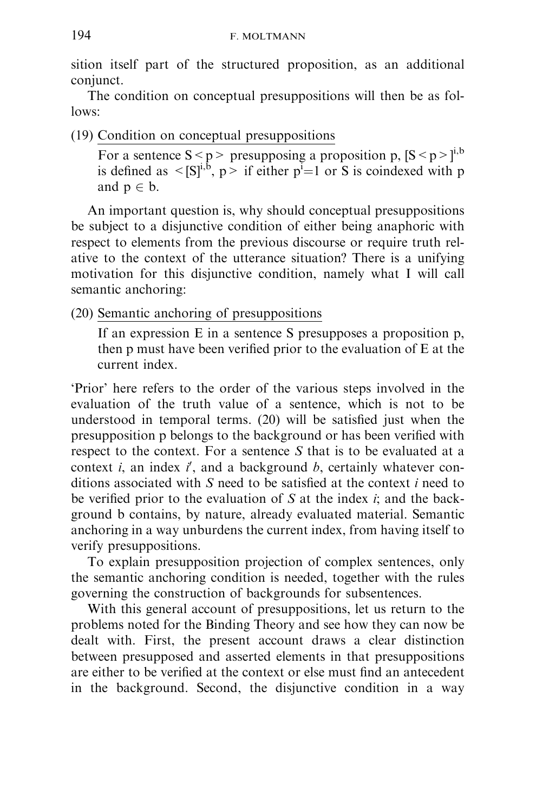sition itself part of the structured proposition, as an additional conjunct.

The condition on conceptual presuppositions will then be as follows:

(19) Condition on conceptual presuppositions

For a sentence  $S < p >$  presupposing a proposition p,  $[S < p >]^{i,b}$ is defined as  $\leq [S]^{i,b}$ ,  $p >$  if either  $p^i=1$  or S is coindexed with p and  $p \in b$ .

An important question is, why should conceptual presuppositions be subject to a disjunctive condition of either being anaphoric with respect to elements from the previous discourse or require truth relative to the context of the utterance situation? There is a unifying motivation for this disjunctive condition, namely what I will call semantic anchoring:

(20) Semantic anchoring of presuppositions

If an expression E in a sentence S presupposes a proposition p, then p must have been verified prior to the evaluation of E at the current index.

'Prior' here refers to the order of the various steps involved in the evaluation of the truth value of a sentence, which is not to be understood in temporal terms. (20) will be satisfied just when the presupposition p belongs to the background or has been verified with respect to the context. For a sentence  $S$  that is to be evaluated at a context *i*, an index  $i'$ , and a background *b*, certainly whatever conditions associated with S need to be satisfied at the context  $i$  need to be verified prior to the evaluation of S at the index  $\dot{i}$ ; and the background b contains, by nature, already evaluated material. Semantic anchoring in a way unburdens the current index, from having itself to verify presuppositions.

To explain presupposition projection of complex sentences, only the semantic anchoring condition is needed, together with the rules governing the construction of backgrounds for subsentences.

With this general account of presuppositions, let us return to the problems noted for the Binding Theory and see how they can now be dealt with. First, the present account draws a clear distinction between presupposed and asserted elements in that presuppositions are either to be verified at the context or else must find an antecedent in the background. Second, the disjunctive condition in a way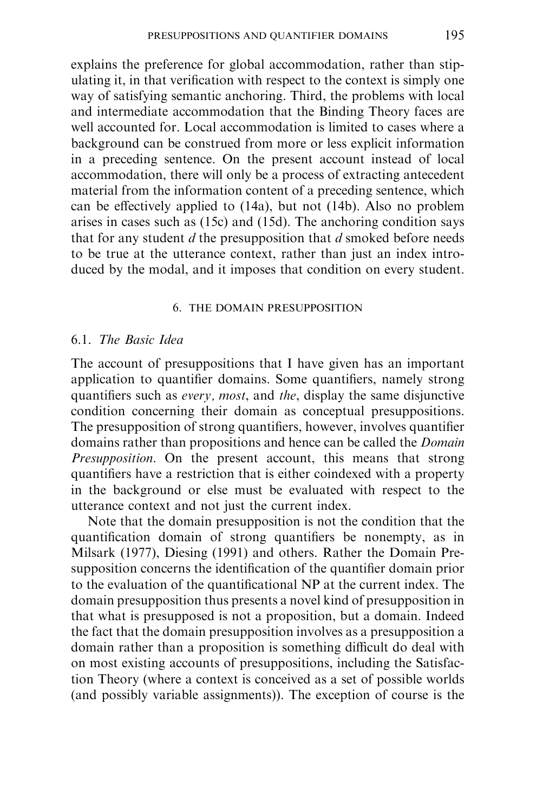explains the preference for global accommodation, rather than stipulating it, in that verification with respect to the context is simply one way of satisfying semantic anchoring. Third, the problems with local and intermediate accommodation that the Binding Theory faces are well accounted for. Local accommodation is limited to cases where a background can be construed from more or less explicit information in a preceding sentence. On the present account instead of local accommodation, there will only be a process of extracting antecedent material from the information content of a preceding sentence, which can be effectively applied to (14a), but not (14b). Also no problem arises in cases such as (15c) and (15d). The anchoring condition says that for any student  $d$  the presupposition that  $d$  smoked before needs to be true at the utterance context, rather than just an index introduced by the modal, and it imposes that condition on every student.

#### 6. THE DOMAIN PRESUPPOSITION

#### 6.1. The Basic Idea

The account of presuppositions that I have given has an important application to quantifier domains. Some quantifiers, namely strong quantifiers such as every, most, and the, display the same disjunctive condition concerning their domain as conceptual presuppositions. The presupposition of strong quantifiers, however, involves quantifier domains rather than propositions and hence can be called the Domain *Presupposition.* On the present account, this means that strong quantifiers have a restriction that is either coindexed with a property in the background or else must be evaluated with respect to the utterance context and not just the current index.

Note that the domain presupposition is not the condition that the quantification domain of strong quantifiers be nonempty, as in Milsark (1977), Diesing (1991) and others. Rather the Domain Presupposition concerns the identification of the quantifier domain prior to the evaluation of the quantificational NP at the current index. The domain presupposition thus presents a novel kind of presupposition in that what is presupposed is not a proposition, but a domain. Indeed the fact that the domain presupposition involves as a presupposition a domain rather than a proposition is something difficult do deal with on most existing accounts of presuppositions, including the Satisfaction Theory (where a context is conceived as a set of possible worlds (and possibly variable assignments)). The exception of course is the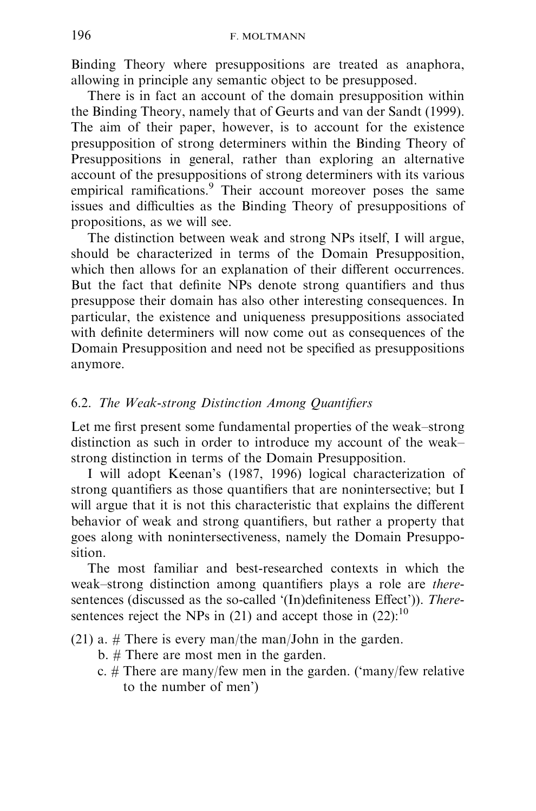Binding Theory where presuppositions are treated as anaphora, allowing in principle any semantic object to be presupposed.

There is in fact an account of the domain presupposition within the Binding Theory, namely that of Geurts and van der Sandt (1999). The aim of their paper, however, is to account for the existence presupposition of strong determiners within the Binding Theory of Presuppositions in general, rather than exploring an alternative account of the presuppositions of strong determiners with its various empirical ramifications.<sup>9</sup> Their account moreover poses the same issues and difficulties as the Binding Theory of presuppositions of propositions, as we will see.

The distinction between weak and strong NPs itself, I will argue, should be characterized in terms of the Domain Presupposition, which then allows for an explanation of their different occurrences. But the fact that definite NPs denote strong quantifiers and thus presuppose their domain has also other interesting consequences. In particular, the existence and uniqueness presuppositions associated with definite determiners will now come out as consequences of the Domain Presupposition and need not be specified as presuppositions anymore.

## 6.2. The Weak-strong Distinction Among Quantifiers

Let me first present some fundamental properties of the weak–strong distinction as such in order to introduce my account of the weak– strong distinction in terms of the Domain Presupposition.

I will adopt Keenan's (1987, 1996) logical characterization of strong quantifiers as those quantifiers that are nonintersective; but I will argue that it is not this characteristic that explains the different behavior of weak and strong quantifiers, but rather a property that goes along with nonintersectiveness, namely the Domain Presupposition.

The most familiar and best-researched contexts in which the weak–strong distinction among quantifiers plays a role are theresentences (discussed as the so-called '(In)definiteness Effect')). Theresentences reject the NPs in (21) and accept those in (22):<sup>10</sup>

(21) a.  $\#$  There is every man/the man/John in the garden.

- b. # There are most men in the garden.
- c. # There are many/few men in the garden. ('many/few relative to the number of men')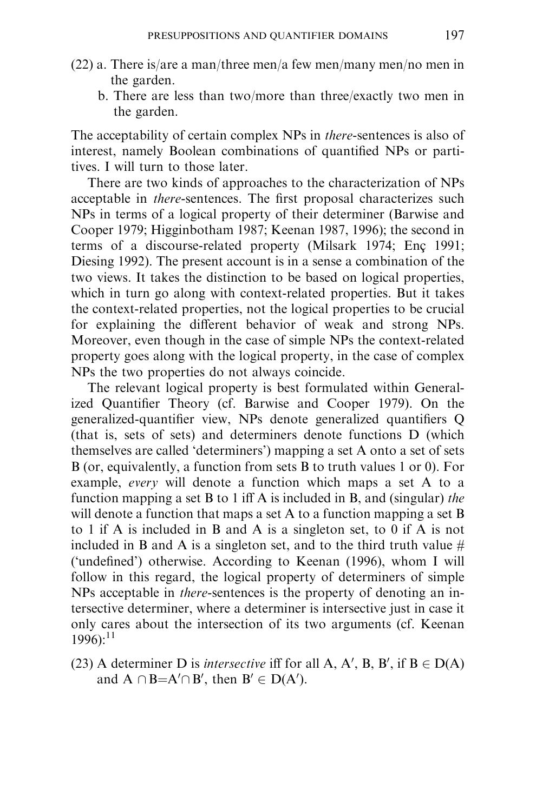- (22) a. There is/are a man/three men/a few men/many men/no men in the garden.
	- b. There are less than two/more than three/exactly two men in the garden.

The acceptability of certain complex NPs in there-sentences is also of interest, namely Boolean combinations of quantified NPs or partitives. I will turn to those later.

There are two kinds of approaches to the characterization of NPs acceptable in there-sentences. The first proposal characterizes such NPs in terms of a logical property of their determiner (Barwise and Cooper 1979; Higginbotham 1987; Keenan 1987, 1996); the second in terms of a discourse-related property (Milsark 1974; Enc 1991; Diesing 1992). The present account is in a sense a combination of the two views. It takes the distinction to be based on logical properties, which in turn go along with context-related properties. But it takes the context-related properties, not the logical properties to be crucial for explaining the different behavior of weak and strong NPs. Moreover, even though in the case of simple NPs the context-related property goes along with the logical property, in the case of complex NPs the two properties do not always coincide.

The relevant logical property is best formulated within Generalized Quantifier Theory (cf. Barwise and Cooper 1979). On the generalized-quantifier view, NPs denote generalized quantifiers Q (that is, sets of sets) and determiners denote functions D (which themselves are called 'determiners') mapping a set A onto a set of sets B (or, equivalently, a function from sets B to truth values 1 or 0). For example, every will denote a function which maps a set A to a function mapping a set B to 1 iff A is included in B, and (singular) the will denote a function that maps a set A to a function mapping a set B to 1 if A is included in B and A is a singleton set, to 0 if A is not included in B and A is a singleton set, and to the third truth value  $#$ (undefined') otherwise. According to Keenan (1996), whom I will follow in this regard, the logical property of determiners of simple NPs acceptable in there-sentences is the property of denoting an intersective determiner, where a determiner is intersective just in case it only cares about the intersection of its two arguments (cf. Keenan  $1996$ :<sup>11</sup>

(23) A determiner D is *intersective* iff for all A, A', B, B', if  $B \in D(A)$ and  $A \cap B = A' \cap B'$ , then  $B' \in D(A')$ .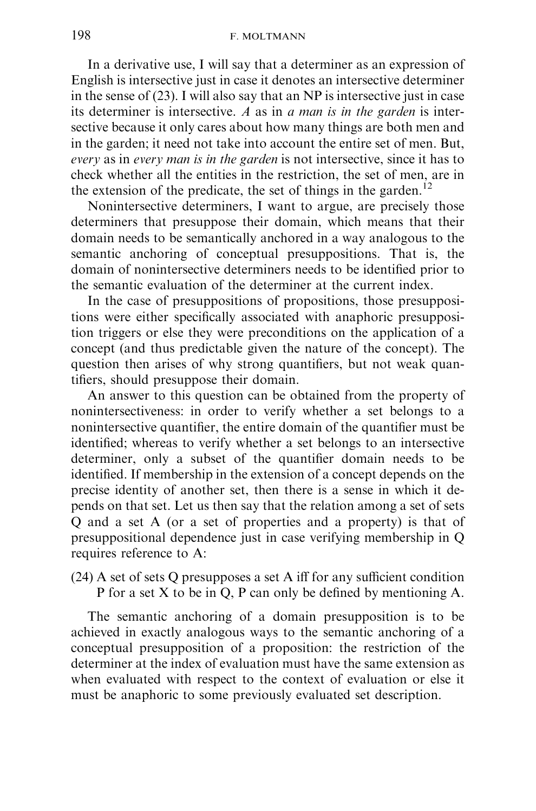In a derivative use, I will say that a determiner as an expression of English is intersective just in case it denotes an intersective determiner in the sense of (23). I will also say that an NP is intersective just in case its determiner is intersective. A as in a man is in the garden is intersective because it only cares about how many things are both men and in the garden; it need not take into account the entire set of men. But, every as in every man is in the garden is not intersective, since it has to check whether all the entities in the restriction, the set of men, are in the extension of the predicate, the set of things in the garden.<sup>12</sup>

Nonintersective determiners, I want to argue, are precisely those determiners that presuppose their domain, which means that their domain needs to be semantically anchored in a way analogous to the semantic anchoring of conceptual presuppositions. That is, the domain of nonintersective determiners needs to be identified prior to the semantic evaluation of the determiner at the current index.

In the case of presuppositions of propositions, those presuppositions were either specifically associated with anaphoric presupposition triggers or else they were preconditions on the application of a concept (and thus predictable given the nature of the concept). The question then arises of why strong quantifiers, but not weak quantifiers, should presuppose their domain.

An answer to this question can be obtained from the property of nonintersectiveness: in order to verify whether a set belongs to a nonintersective quantifier, the entire domain of the quantifier must be identified; whereas to verify whether a set belongs to an intersective determiner, only a subset of the quantifier domain needs to be identified. If membership in the extension of a concept depends on the precise identity of another set, then there is a sense in which it depends on that set. Let us then say that the relation among a set of sets Q and a set A (or a set of properties and a property) is that of presuppositional dependence just in case verifying membership in Q requires reference to A:

(24) A set of sets Q presupposes a set A iff for any sufficient condition P for a set X to be in Q, P can only be defined by mentioning A.

The semantic anchoring of a domain presupposition is to be achieved in exactly analogous ways to the semantic anchoring of a conceptual presupposition of a proposition: the restriction of the determiner at the index of evaluation must have the same extension as when evaluated with respect to the context of evaluation or else it must be anaphoric to some previously evaluated set description.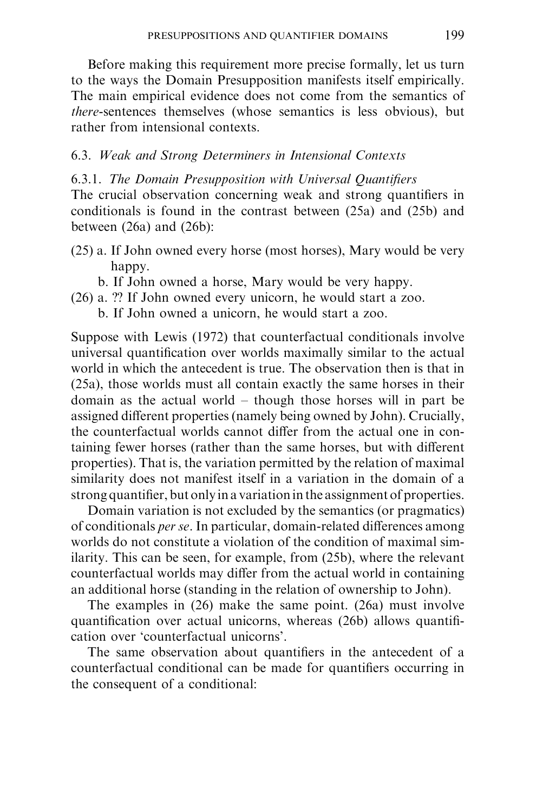Before making this requirement more precise formally, let us turn to the ways the Domain Presupposition manifests itself empirically. The main empirical evidence does not come from the semantics of there-sentences themselves (whose semantics is less obvious), but rather from intensional contexts.

## 6.3. Weak and Strong Determiners in Intensional Contexts

### 6.3.1. The Domain Presupposition with Universal Quantifiers

The crucial observation concerning weak and strong quantifiers in conditionals is found in the contrast between (25a) and (25b) and between (26a) and (26b):

- (25) a. If John owned every horse (most horses), Mary would be very happy.
	- b. If John owned a horse, Mary would be very happy.
- (26) a. ?? If John owned every unicorn, he would start a zoo.
	- b. If John owned a unicorn, he would start a zoo.

Suppose with Lewis (1972) that counterfactual conditionals involve universal quantification over worlds maximally similar to the actual world in which the antecedent is true. The observation then is that in (25a), those worlds must all contain exactly the same horses in their domain as the actual world – though those horses will in part be assigned different properties (namely being owned by John). Crucially, the counterfactual worlds cannot differ from the actual one in containing fewer horses (rather than the same horses, but with different properties). That is, the variation permitted by the relation of maximal similarity does not manifest itself in a variation in the domain of a strong quantifier, but only in a variation in the assignment of properties.

Domain variation is not excluded by the semantics (or pragmatics) of conditionals per se. In particular, domain-related differences among worlds do not constitute a violation of the condition of maximal similarity. This can be seen, for example, from (25b), where the relevant counterfactual worlds may differ from the actual world in containing an additional horse (standing in the relation of ownership to John).

The examples in (26) make the same point. (26a) must involve quantification over actual unicorns, whereas (26b) allows quantification over 'counterfactual unicorns'.

The same observation about quantifiers in the antecedent of a counterfactual conditional can be made for quantifiers occurring in the consequent of a conditional: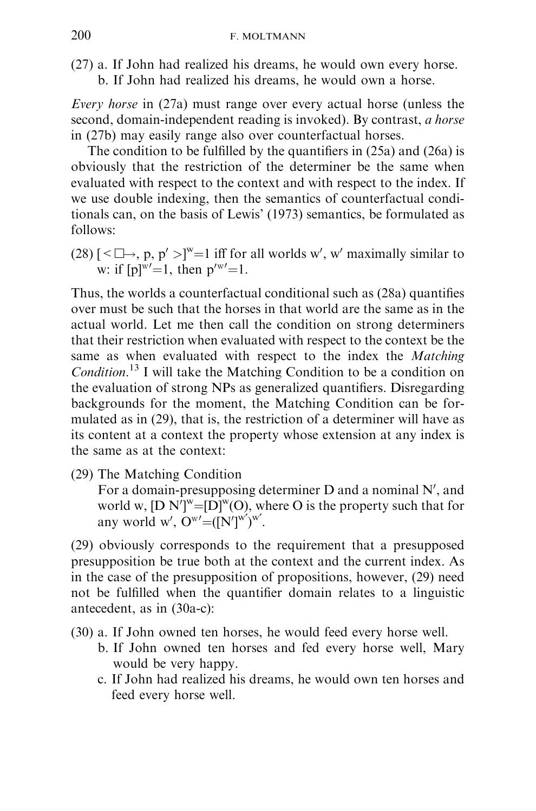(27) a. If John had realized his dreams, he would own every horse. b. If John had realized his dreams, he would own a horse.

Every horse in (27a) must range over every actual horse (unless the second, domain-independent reading is invoked). By contrast, a horse in (27b) may easily range also over counterfactual horses.

The condition to be fulfilled by the quantifiers in (25a) and (26a) is obviously that the restriction of the determiner be the same when evaluated with respect to the context and with respect to the index. If we use double indexing, then the semantics of counterfactual conditionals can, on the basis of Lewis' (1973) semantics, be formulated as follows:

(28)  $[$  <  $\Box$ , p, p' >]<sup>w</sup>=1 iff for all worlds w', w' maximally similar to w: if  $[p]^{w'}=1$ , then  $p'^{w'}=1$ .

Thus, the worlds a counterfactual conditional such as (28a) quantifies over must be such that the horses in that world are the same as in the actual world. Let me then call the condition on strong determiners that their restriction when evaluated with respect to the context be the same as when evaluated with respect to the index the *Matching* Condition.<sup>13</sup> I will take the Matching Condition to be a condition on the evaluation of strong NPs as generalized quantifiers. Disregarding backgrounds for the moment, the Matching Condition can be formulated as in (29), that is, the restriction of a determiner will have as its content at a context the property whose extension at any index is the same as at the context:

(29) The Matching Condition

For a domain-presupposing determiner  $D$  and a nominal  $N'$ , and world w,  $[D N']^w = [D]^w(O)$ , where O is the property such that for any world w',  $O^{\mathbf{w}\prime} = ([\mathbf{N}']^{\mathbf{w}'})^{\mathbf{w}'}$ .

(29) obviously corresponds to the requirement that a presupposed presupposition be true both at the context and the current index. As in the case of the presupposition of propositions, however, (29) need not be fulfilled when the quantifier domain relates to a linguistic antecedent, as in (30a-c):

- (30) a. If John owned ten horses, he would feed every horse well.
	- b. If John owned ten horses and fed every horse well, Mary would be very happy.
	- c. If John had realized his dreams, he would own ten horses and feed every horse well.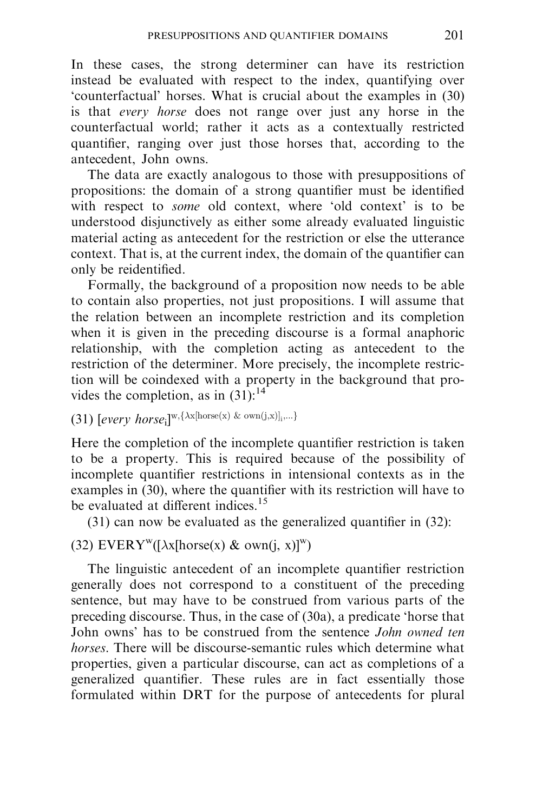In these cases, the strong determiner can have its restriction instead be evaluated with respect to the index, quantifying over 'counterfactual' horses. What is crucial about the examples in (30) is that every horse does not range over just any horse in the counterfactual world; rather it acts as a contextually restricted quantifier, ranging over just those horses that, according to the antecedent, John owns.

The data are exactly analogous to those with presuppositions of propositions: the domain of a strong quantifier must be identified with respect to *some* old context, where 'old context' is to be understood disjunctively as either some already evaluated linguistic material acting as antecedent for the restriction or else the utterance context. That is, at the current index, the domain of the quantifier can only be reidentified.

Formally, the background of a proposition now needs to be able to contain also properties, not just propositions. I will assume that the relation between an incomplete restriction and its completion when it is given in the preceding discourse is a formal anaphoric relationship, with the completion acting as antecedent to the restriction of the determiner. More precisely, the incomplete restriction will be coindexed with a property in the background that provides the completion, as in  $(31)$ :<sup>14</sup>

(31)  $[every\; horse_i]^{w,\{\lambda x [horse(x) \& own(j,x)]_i,...\}}$ 

Here the completion of the incomplete quantifier restriction is taken to be a property. This is required because of the possibility of incomplete quantifier restrictions in intensional contexts as in the examples in (30), where the quantifier with its restriction will have to be evaluated at different indices.<sup>15</sup>

(31) can now be evaluated as the generalized quantifier in (32):

(32) EVERY<sup>w</sup>([ $\lambda$ x[horse(x) & own(j, x)]<sup>w</sup>)

The linguistic antecedent of an incomplete quantifier restriction generally does not correspond to a constituent of the preceding sentence, but may have to be construed from various parts of the preceding discourse. Thus, in the case of (30a), a predicate 'horse that John owns' has to be construed from the sentence *John owned ten* horses. There will be discourse-semantic rules which determine what properties, given a particular discourse, can act as completions of a generalized quantifier. These rules are in fact essentially those formulated within DRT for the purpose of antecedents for plural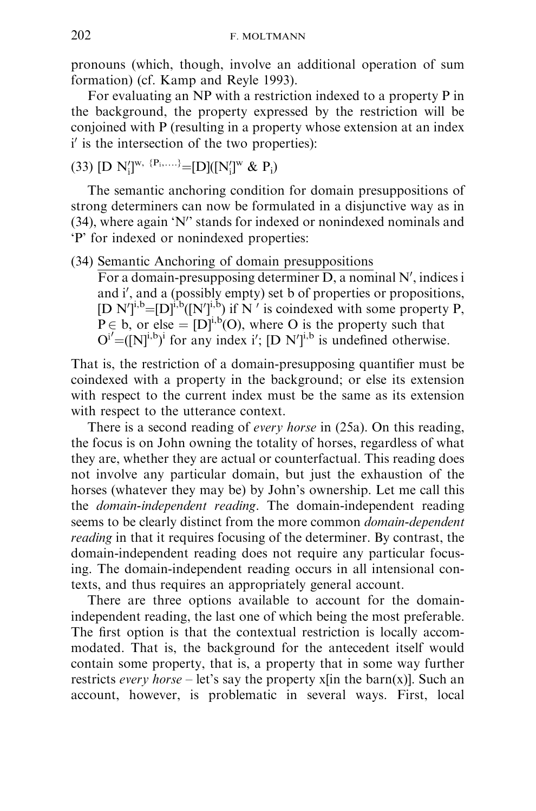pronouns (which, though, involve an additional operation of sum formation) (cf. Kamp and Reyle 1993).

For evaluating an NP with a restriction indexed to a property P in the background, the property expressed by the restriction will be conjoined with P (resulting in a property whose extension at an index i' is the intersection of the two properties):

(33) [D N<sup>0</sup> i ] w, {Pi,….}¼[D]([N<sup>0</sup> i ] <sup>w</sup> & Pi)

The semantic anchoring condition for domain presuppositions of strong determiners can now be formulated in a disjunctive way as in  $(34)$ , where again 'N'' stands for indexed or nonindexed nominals and 'P' for indexed or nonindexed properties:

(34) Semantic Anchoring of domain presuppositions For a domain-presupposing determiner D, a nominal N', indices i and i', and a (possibly empty) set b of properties or propositions, [D N']<sup>i,b</sup>=[D]<sup>i,b</sup>([N']<sup>i,b</sup>) if N' is coindexed with some property P,  $P \in b$ , or else = [D]<sup>i,b</sup>(O), where O is the property such that  $O^{i'} = ([N]^{i,b})^i$  for any index i'; [D N']<sup>i,b</sup> is undefined otherwise.

That is, the restriction of a domain-presupposing quantifier must be coindexed with a property in the background; or else its extension with respect to the current index must be the same as its extension with respect to the utterance context.

There is a second reading of *every horse* in (25a). On this reading, the focus is on John owning the totality of horses, regardless of what they are, whether they are actual or counterfactual. This reading does not involve any particular domain, but just the exhaustion of the horses (whatever they may be) by John's ownership. Let me call this the domain-independent reading. The domain-independent reading seems to be clearly distinct from the more common domain-dependent reading in that it requires focusing of the determiner. By contrast, the domain-independent reading does not require any particular focusing. The domain-independent reading occurs in all intensional contexts, and thus requires an appropriately general account.

There are three options available to account for the domainindependent reading, the last one of which being the most preferable. The first option is that the contextual restriction is locally accommodated. That is, the background for the antecedent itself would contain some property, that is, a property that in some way further restricts *every horse* – let's say the property x[in the barn(x)]. Such an account, however, is problematic in several ways. First, local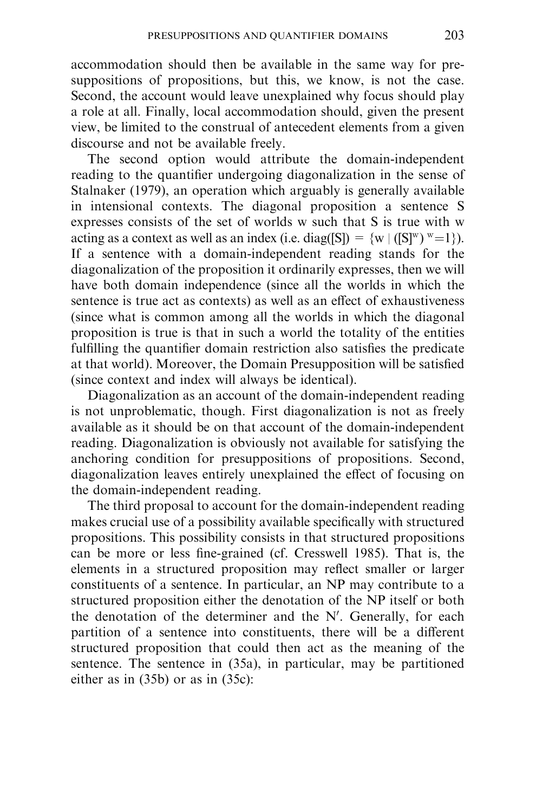accommodation should then be available in the same way for presuppositions of propositions, but this, we know, is not the case. Second, the account would leave unexplained why focus should play a role at all. Finally, local accommodation should, given the present view, be limited to the construal of antecedent elements from a given discourse and not be available freely.

The second option would attribute the domain-independent reading to the quantifier undergoing diagonalization in the sense of Stalnaker (1979), an operation which arguably is generally available in intensional contexts. The diagonal proposition a sentence S expresses consists of the set of worlds w such that S is true with w acting as a context as well as an index (i.e. diag([S]) =  $\{w \mid ([S]^w)^w=1\}$ ). If a sentence with a domain-independent reading stands for the diagonalization of the proposition it ordinarily expresses, then we will have both domain independence (since all the worlds in which the sentence is true act as contexts) as well as an effect of exhaustiveness (since what is common among all the worlds in which the diagonal proposition is true is that in such a world the totality of the entities fulfilling the quantifier domain restriction also satisfies the predicate at that world). Moreover, the Domain Presupposition will be satisfied (since context and index will always be identical).

Diagonalization as an account of the domain-independent reading is not unproblematic, though. First diagonalization is not as freely available as it should be on that account of the domain-independent reading. Diagonalization is obviously not available for satisfying the anchoring condition for presuppositions of propositions. Second, diagonalization leaves entirely unexplained the effect of focusing on the domain-independent reading.

The third proposal to account for the domain-independent reading makes crucial use of a possibility available specifically with structured propositions. This possibility consists in that structured propositions can be more or less fine-grained (cf. Cresswell 1985). That is, the elements in a structured proposition may reflect smaller or larger constituents of a sentence. In particular, an NP may contribute to a structured proposition either the denotation of the NP itself or both the denotation of the determiner and the  $N'$ . Generally, for each partition of a sentence into constituents, there will be a different structured proposition that could then act as the meaning of the sentence. The sentence in (35a), in particular, may be partitioned either as in (35b) or as in (35c):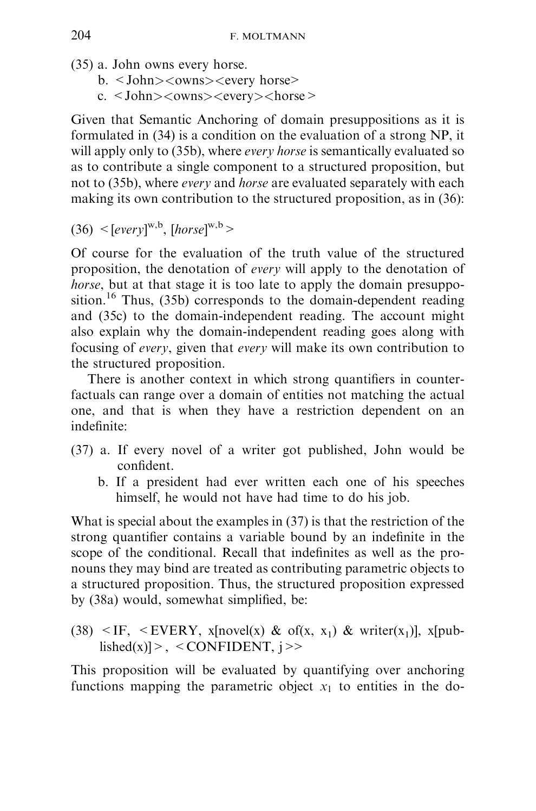(35) a. John owns every horse.

- b. <John><owns><every horse>
- c. <John><owns><every><horse>

Given that Semantic Anchoring of domain presuppositions as it is formulated in (34) is a condition on the evaluation of a strong NP, it will apply only to (35b), where *every horse* is semantically evaluated so as to contribute a single component to a structured proposition, but not to (35b), where every and horse are evaluated separately with each making its own contribution to the structured proposition, as in (36):

 $(36) < [every]^{w,b}, [horse]^{w,b} >$ 

Of course for the evaluation of the truth value of the structured proposition, the denotation of every will apply to the denotation of horse, but at that stage it is too late to apply the domain presupposition.<sup>16</sup> Thus, (35b) corresponds to the domain-dependent reading and (35c) to the domain-independent reading. The account might also explain why the domain-independent reading goes along with focusing of every, given that every will make its own contribution to the structured proposition.

There is another context in which strong quantifiers in counterfactuals can range over a domain of entities not matching the actual one, and that is when they have a restriction dependent on an indefinite:

- (37) a. If every novel of a writer got published, John would be confident.
	- b. If a president had ever written each one of his speeches himself, he would not have had time to do his job.

What is special about the examples in (37) is that the restriction of the strong quantifier contains a variable bound by an indefinite in the scope of the conditional. Recall that indefinites as well as the pronouns they may bind are treated as contributing parametric objects to a structured proposition. Thus, the structured proposition expressed by (38a) would, somewhat simplified, be:

(38)  $\leq$  IF,  $\leq$  EVERY, x[novel(x) & of(x, x<sub>1</sub>) & writer(x<sub>1</sub>)], x[published(x)] >, < CONFIDENT,  $j$  >>

This proposition will be evaluated by quantifying over anchoring functions mapping the parametric object  $x_1$  to entities in the do-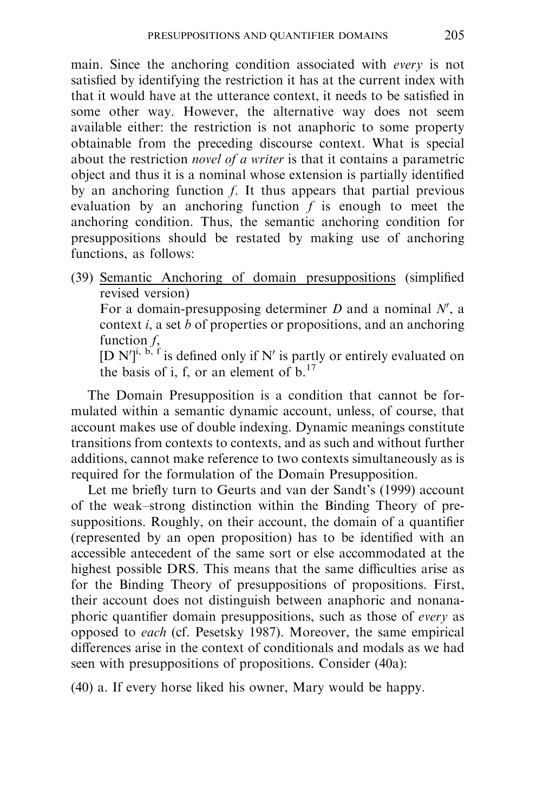main. Since the anchoring condition associated with every is not satisfied by identifying the restriction it has at the current index with that it would have at the utterance context, it needs to be satisfied in some other way. However, the alternative way does not seem available either: the restriction is not anaphoric to some property obtainable from the preceding discourse context. What is special about the restriction *novel of a writer* is that it contains a parametric object and thus it is a nominal whose extension is partially identified by an anchoring function  $f$ . It thus appears that partial previous evaluation by an anchoring function  $f$  is enough to meet the anchoring condition. Thus, the semantic anchoring condition for presuppositions should be restated by making use of anchoring functions, as follows:

(39) Semantic Anchoring of domain presuppositions (simplified revised version)

For a domain-presupposing determiner  $D$  and a nominal  $N'$ , a context  $i$ , a set  $b$  of properties or propositions, and an anchoring function  $f$ ,

[D N']<sup>i, b, f</sup> is defined only if N' is partly or entirely evaluated on the basis of i, f, or an element of  $h<sup>17</sup>$ 

The Domain Presupposition is a condition that cannot be formulated within a semantic dynamic account, unless, of course, that account makes use of double indexing. Dynamic meanings constitute transitions from contexts to contexts, and as such and without further additions, cannot make reference to two contexts simultaneously as is required for the formulation of the Domain Presupposition.

Let me briefly turn to Geurts and van der Sandt's (1999) account of the weak–strong distinction within the Binding Theory of presuppositions. Roughly, on their account, the domain of a quantifier (represented by an open proposition) has to be identified with an accessible antecedent of the same sort or else accommodated at the highest possible DRS. This means that the same difficulties arise as for the Binding Theory of presuppositions of propositions. First, their account does not distinguish between anaphoric and nonanaphoric quantifier domain presuppositions, such as those of every as opposed to each (cf. Pesetsky 1987). Moreover, the same empirical differences arise in the context of conditionals and modals as we had seen with presuppositions of propositions. Consider (40a):

(40) a. If every horse liked his owner, Mary would be happy.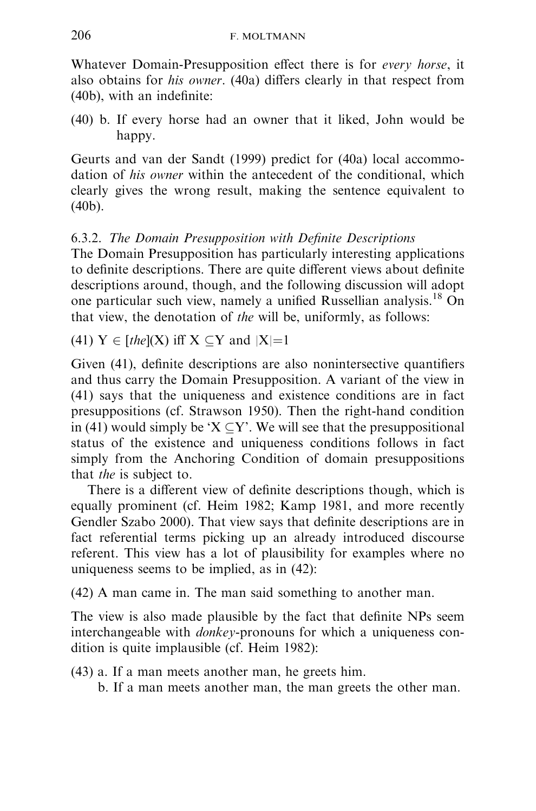Whatever Domain-Presupposition effect there is for every horse, it also obtains for his owner. (40a) differs clearly in that respect from (40b), with an indefinite:

(40) b. If every horse had an owner that it liked, John would be happy.

Geurts and van der Sandt (1999) predict for (40a) local accommodation of his owner within the antecedent of the conditional, which clearly gives the wrong result, making the sentence equivalent to (40b).

# 6.3.2. The Domain Presupposition with Definite Descriptions

The Domain Presupposition has particularly interesting applications to definite descriptions. There are quite different views about definite descriptions around, though, and the following discussion will adopt one particular such view, namely a unified Russellian analysis.<sup>18</sup> On that view, the denotation of *the* will be, uniformly, as follows:

(41)  $Y \in [the](X)$  iff  $X \subseteq Y$  and  $|X|=1$ 

Given (41), definite descriptions are also nonintersective quantifiers and thus carry the Domain Presupposition. A variant of the view in (41) says that the uniqueness and existence conditions are in fact presuppositions (cf. Strawson 1950). Then the right-hand condition in (41) would simply be 'X  $\subseteq$ Y'. We will see that the presuppositional status of the existence and uniqueness conditions follows in fact simply from the Anchoring Condition of domain presuppositions that the is subject to.

There is a different view of definite descriptions though, which is equally prominent (cf. Heim 1982; Kamp 1981, and more recently Gendler Szabo 2000). That view says that definite descriptions are in fact referential terms picking up an already introduced discourse referent. This view has a lot of plausibility for examples where no uniqueness seems to be implied, as in (42):

(42) A man came in. The man said something to another man.

The view is also made plausible by the fact that definite NPs seem interchangeable with donkey-pronouns for which a uniqueness condition is quite implausible (cf. Heim 1982):

- (43) a. If a man meets another man, he greets him.
	- b. If a man meets another man, the man greets the other man.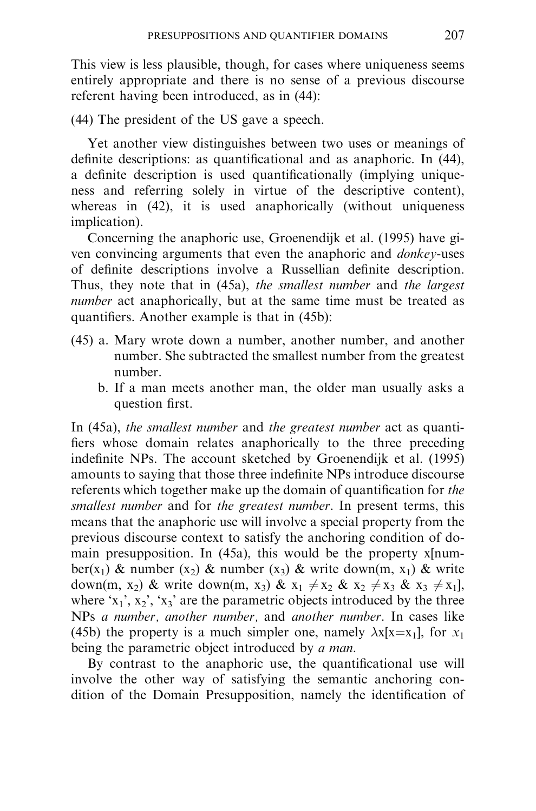This view is less plausible, though, for cases where uniqueness seems entirely appropriate and there is no sense of a previous discourse referent having been introduced, as in (44):

(44) The president of the US gave a speech.

Yet another view distinguishes between two uses or meanings of definite descriptions: as quantificational and as anaphoric. In (44), a definite description is used quantificationally (implying uniqueness and referring solely in virtue of the descriptive content), whereas in (42), it is used anaphorically (without uniqueness implication).

Concerning the anaphoric use, Groenendijk et al. (1995) have given convincing arguments that even the anaphoric and donkey-uses of definite descriptions involve a Russellian definite description. Thus, they note that in (45a), the smallest number and the largest number act anaphorically, but at the same time must be treated as quantifiers. Another example is that in (45b):

- (45) a. Mary wrote down a number, another number, and another number. She subtracted the smallest number from the greatest number.
	- b. If a man meets another man, the older man usually asks a question first.

In (45a), the smallest number and the greatest number act as quantifiers whose domain relates anaphorically to the three preceding indefinite NPs. The account sketched by Groenendijk et al. (1995) amounts to saying that those three indefinite NPs introduce discourse referents which together make up the domain of quantification for the smallest number and for the greatest number. In present terms, this means that the anaphoric use will involve a special property from the previous discourse context to satisfy the anchoring condition of domain presupposition. In (45a), this would be the property x[number(x<sub>1</sub>) & number (x<sub>2</sub>) & number (x<sub>3</sub>) & write down(m, x<sub>1</sub>) & write down(m, x<sub>2</sub>) & write down(m, x<sub>3</sub>) & x<sub>1</sub>  $\neq$  x<sub>2</sub> & x<sub>2</sub>  $\neq$  x<sub>3</sub>  $\neq$  x<sub>1</sub>], where ' $x_1$ ',  $x_2$ ', ' $x_3$ ' are the parametric objects introduced by the three NPs a number, another number, and another number. In cases like (45b) the property is a much simpler one, namely  $\lambda x[x=x_1]$ , for  $x_1$ being the parametric object introduced by a man.

By contrast to the anaphoric use, the quantificational use will involve the other way of satisfying the semantic anchoring condition of the Domain Presupposition, namely the identification of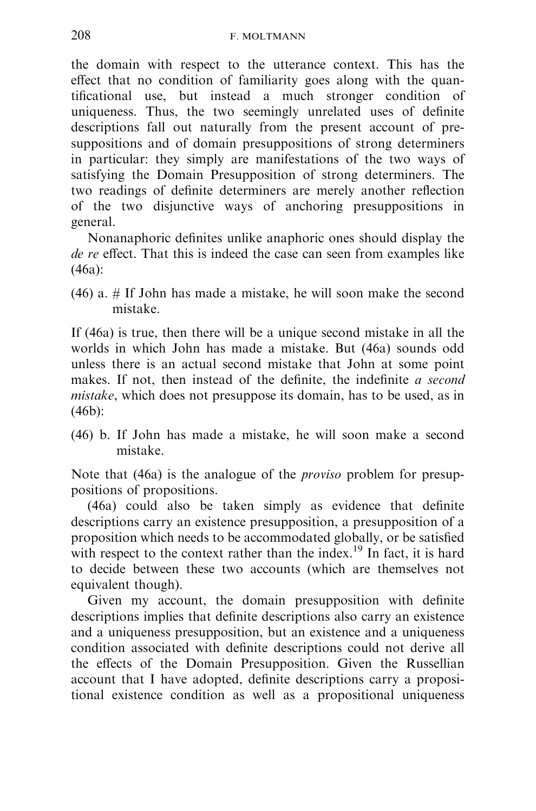the domain with respect to the utterance context. This has the effect that no condition of familiarity goes along with the quantificational use, but instead a much stronger condition of uniqueness. Thus, the two seemingly unrelated uses of definite descriptions fall out naturally from the present account of presuppositions and of domain presuppositions of strong determiners in particular: they simply are manifestations of the two ways of satisfying the Domain Presupposition of strong determiners. The two readings of definite determiners are merely another reflection of the two disjunctive ways of anchoring presuppositions in general.

Nonanaphoric definites unlike anaphoric ones should display the de re effect. That this is indeed the case can seen from examples like (46a):

 $(46)$  a. # If John has made a mistake, he will soon make the second mistake.

If (46a) is true, then there will be a unique second mistake in all the worlds in which John has made a mistake. But (46a) sounds odd unless there is an actual second mistake that John at some point makes. If not, then instead of the definite, the indefinite a second mistake, which does not presuppose its domain, has to be used, as in (46b):

(46) b. If John has made a mistake, he will soon make a second mistake.

Note that (46a) is the analogue of the proviso problem for presuppositions of propositions.

(46a) could also be taken simply as evidence that definite descriptions carry an existence presupposition, a presupposition of a proposition which needs to be accommodated globally, or be satisfied with respect to the context rather than the index.<sup>19</sup> In fact, it is hard to decide between these two accounts (which are themselves not equivalent though).

Given my account, the domain presupposition with definite descriptions implies that definite descriptions also carry an existence and a uniqueness presupposition, but an existence and a uniqueness condition associated with definite descriptions could not derive all the effects of the Domain Presupposition. Given the Russellian account that I have adopted, definite descriptions carry a propositional existence condition as well as a propositional uniqueness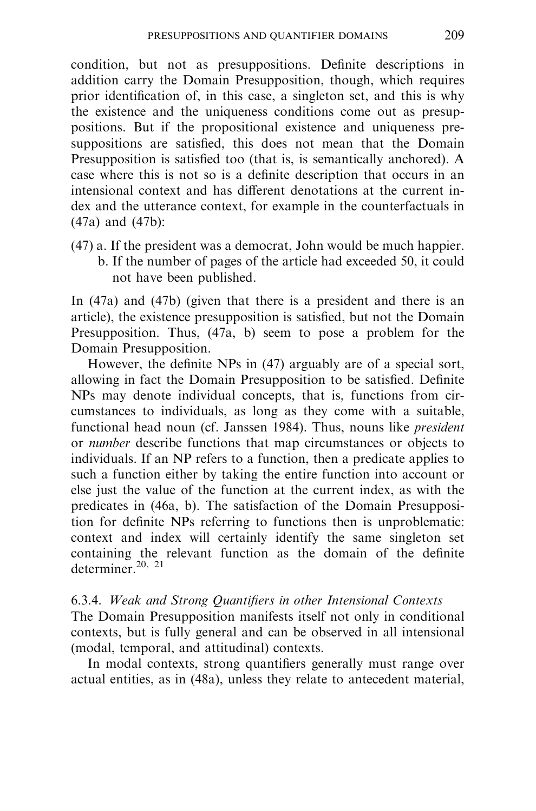condition, but not as presuppositions. Definite descriptions in addition carry the Domain Presupposition, though, which requires prior identification of, in this case, a singleton set, and this is why the existence and the uniqueness conditions come out as presuppositions. But if the propositional existence and uniqueness presuppositions are satisfied, this does not mean that the Domain Presupposition is satisfied too (that is, is semantically anchored). A case where this is not so is a definite description that occurs in an intensional context and has different denotations at the current index and the utterance context, for example in the counterfactuals in (47a) and (47b):

(47) a. If the president was a democrat, John would be much happier. b. If the number of pages of the article had exceeded 50, it could not have been published.

In (47a) and (47b) (given that there is a president and there is an article), the existence presupposition is satisfied, but not the Domain Presupposition. Thus, (47a, b) seem to pose a problem for the Domain Presupposition.

However, the definite NPs in (47) arguably are of a special sort, allowing in fact the Domain Presupposition to be satisfied. Definite NPs may denote individual concepts, that is, functions from circumstances to individuals, as long as they come with a suitable, functional head noun (cf. Janssen 1984). Thus, nouns like president or number describe functions that map circumstances or objects to individuals. If an NP refers to a function, then a predicate applies to such a function either by taking the entire function into account or else just the value of the function at the current index, as with the predicates in (46a, b). The satisfaction of the Domain Presupposition for definite NPs referring to functions then is unproblematic: context and index will certainly identify the same singleton set containing the relevant function as the domain of the definite determiner. $20, 21$ 

## 6.3.4. Weak and Strong Quantifiers in other Intensional Contexts

The Domain Presupposition manifests itself not only in conditional contexts, but is fully general and can be observed in all intensional (modal, temporal, and attitudinal) contexts.

In modal contexts, strong quantifiers generally must range over actual entities, as in (48a), unless they relate to antecedent material,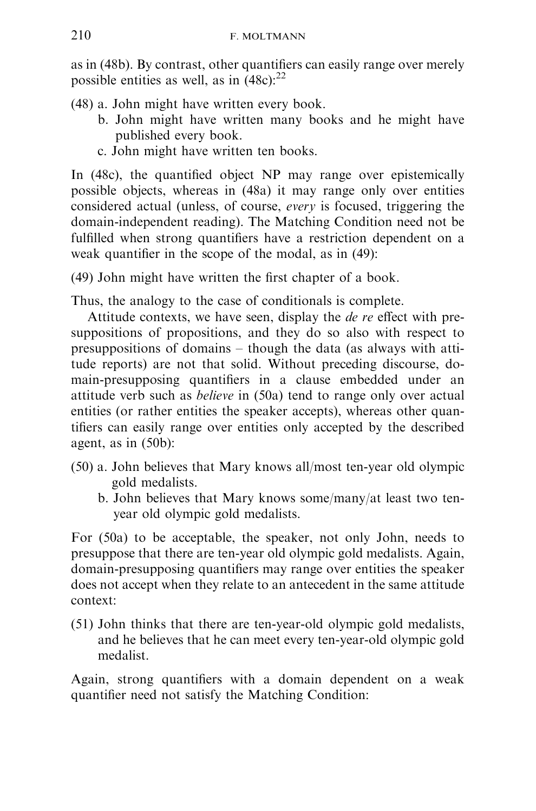as in (48b). By contrast, other quantifiers can easily range over merely possible entities as well, as in  $(48c)$ :  $22$ 

(48) a. John might have written every book.

- b. John might have written many books and he might have published every book.
- c. John might have written ten books.

In (48c), the quantified object NP may range over epistemically possible objects, whereas in (48a) it may range only over entities considered actual (unless, of course, every is focused, triggering the domain-independent reading). The Matching Condition need not be fulfilled when strong quantifiers have a restriction dependent on a weak quantifier in the scope of the modal, as in (49):

(49) John might have written the first chapter of a book.

Thus, the analogy to the case of conditionals is complete.

Attitude contexts, we have seen, display the *de re* effect with presuppositions of propositions, and they do so also with respect to presuppositions of domains – though the data (as always with attitude reports) are not that solid. Without preceding discourse, domain-presupposing quantifiers in a clause embedded under an attitude verb such as believe in (50a) tend to range only over actual entities (or rather entities the speaker accepts), whereas other quantifiers can easily range over entities only accepted by the described agent, as in (50b):

- (50) a. John believes that Mary knows all/most ten-year old olympic gold medalists.
	- b. John believes that Mary knows some/many/at least two tenyear old olympic gold medalists.

For (50a) to be acceptable, the speaker, not only John, needs to presuppose that there are ten-year old olympic gold medalists. Again, domain-presupposing quantifiers may range over entities the speaker does not accept when they relate to an antecedent in the same attitude context:

(51) John thinks that there are ten-year-old olympic gold medalists, and he believes that he can meet every ten-year-old olympic gold medalist.

Again, strong quantifiers with a domain dependent on a weak quantifier need not satisfy the Matching Condition: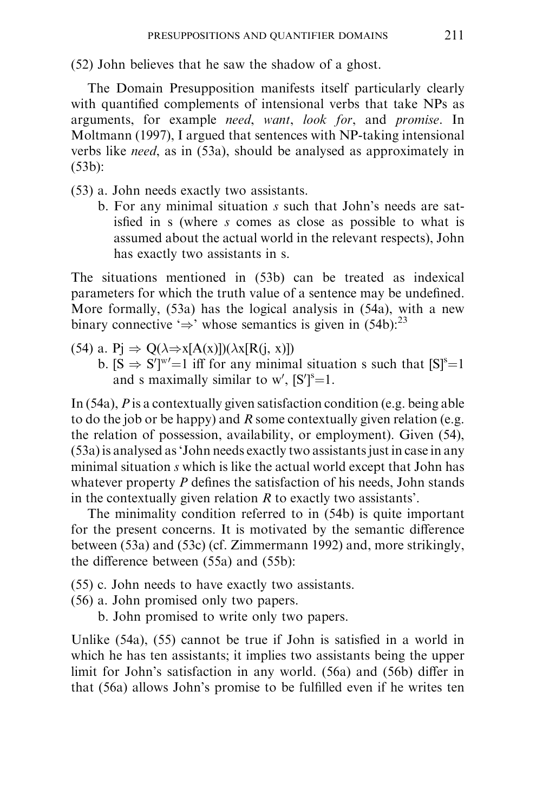(52) John believes that he saw the shadow of a ghost.

The Domain Presupposition manifests itself particularly clearly with quantified complements of intensional verbs that take NPs as arguments, for example *need*, want, look for, and promise. In Moltmann (1997), I argued that sentences with NP-taking intensional verbs like need, as in (53a), should be analysed as approximately in (53b):

- (53) a. John needs exactly two assistants.
	- b. For any minimal situation s such that John's needs are satisfied in s (where s comes as close as possible to what is assumed about the actual world in the relevant respects), John has exactly two assistants in s.

The situations mentioned in (53b) can be treated as indexical parameters for which the truth value of a sentence may be undefined. More formally, (53a) has the logical analysis in (54a), with a new binary connective ' $\Rightarrow$ ' whose semantics is given in (54b):<sup>23</sup>

- (54) a. Pj  $\Rightarrow$  Q( $\lambda \Rightarrow x[A(x)](\lambda x[R(i, x)])$ 
	- b.  $[S \Rightarrow S']^{w'}=1$  iff for any minimal situation s such that  $[S]^s=1$ and s maximally similar to w',  $[S']^s = 1$ .

In (54a), P is a contextually given satisfaction condition (e.g. being able to do the job or be happy) and R some contextually given relation (e.g. the relation of possession, availability, or employment). Given (54), (53a) is analysed as 'John needs exactly two assistants just in case in any minimal situation s which is like the actual world except that John has whatever property  $P$  defines the satisfaction of his needs, John stands in the contextually given relation  $R$  to exactly two assistants'.

The minimality condition referred to in (54b) is quite important for the present concerns. It is motivated by the semantic difference between (53a) and (53c) (cf. Zimmermann 1992) and, more strikingly, the difference between (55a) and (55b):

- (55) c. John needs to have exactly two assistants.
- (56) a. John promised only two papers.
	- b. John promised to write only two papers.

Unlike (54a), (55) cannot be true if John is satisfied in a world in which he has ten assistants; it implies two assistants being the upper limit for John's satisfaction in any world. (56a) and (56b) differ in that (56a) allows John's promise to be fulfilled even if he writes ten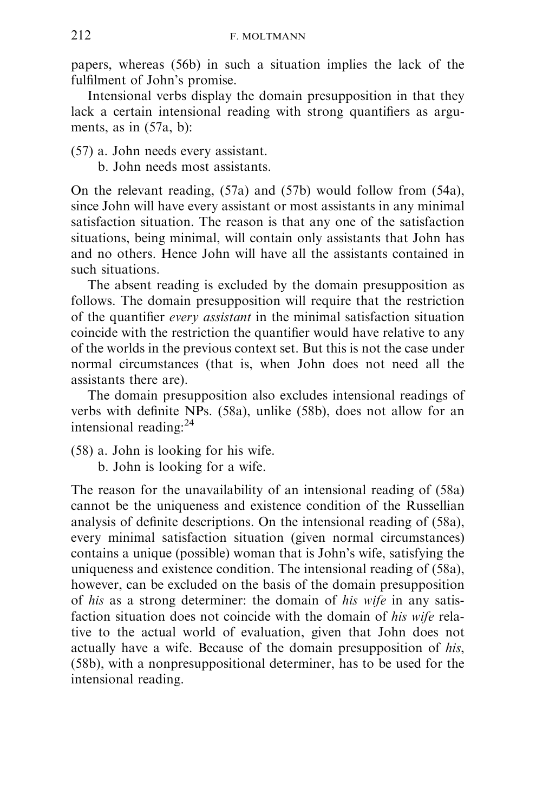papers, whereas (56b) in such a situation implies the lack of the fulfilment of John's promise.

Intensional verbs display the domain presupposition in that they lack a certain intensional reading with strong quantifiers as arguments, as in (57a, b):

(57) a. John needs every assistant.

b. John needs most assistants.

On the relevant reading, (57a) and (57b) would follow from (54a), since John will have every assistant or most assistants in any minimal satisfaction situation. The reason is that any one of the satisfaction situations, being minimal, will contain only assistants that John has and no others. Hence John will have all the assistants contained in such situations.

The absent reading is excluded by the domain presupposition as follows. The domain presupposition will require that the restriction of the quantifier every assistant in the minimal satisfaction situation coincide with the restriction the quantifier would have relative to any of the worlds in the previous context set. But this is not the case under normal circumstances (that is, when John does not need all the assistants there are).

The domain presupposition also excludes intensional readings of verbs with definite NPs. (58a), unlike (58b), does not allow for an intensional reading:<sup>24</sup>

(58) a. John is looking for his wife.

b. John is looking for a wife.

The reason for the unavailability of an intensional reading of (58a) cannot be the uniqueness and existence condition of the Russellian analysis of definite descriptions. On the intensional reading of (58a), every minimal satisfaction situation (given normal circumstances) contains a unique (possible) woman that is John's wife, satisfying the uniqueness and existence condition. The intensional reading of (58a), however, can be excluded on the basis of the domain presupposition of his as a strong determiner: the domain of his wife in any satisfaction situation does not coincide with the domain of his wife relative to the actual world of evaluation, given that John does not actually have a wife. Because of the domain presupposition of his, (58b), with a nonpresuppositional determiner, has to be used for the intensional reading.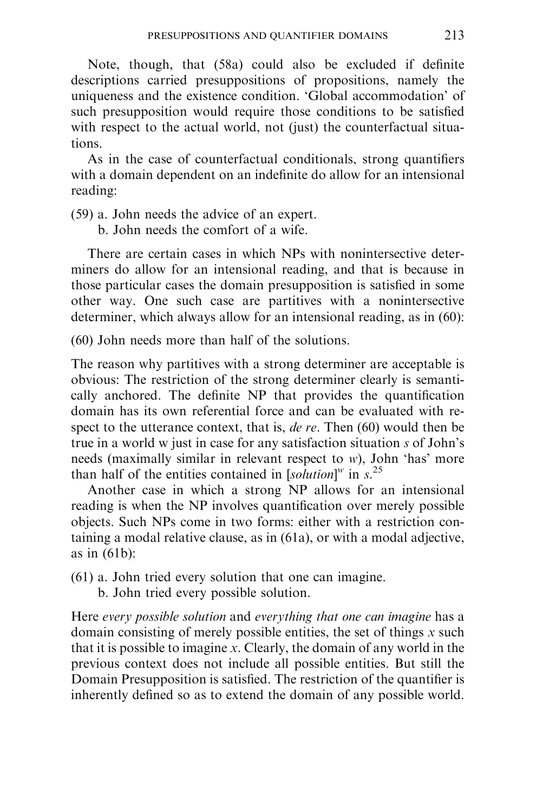Note, though, that (58a) could also be excluded if definite descriptions carried presuppositions of propositions, namely the uniqueness and the existence condition. 'Global accommodation' of such presupposition would require those conditions to be satisfied with respect to the actual world, not (just) the counterfactual situations.

As in the case of counterfactual conditionals, strong quantifiers with a domain dependent on an indefinite do allow for an intensional reading:

(59) a. John needs the advice of an expert.

b. John needs the comfort of a wife.

There are certain cases in which NPs with nonintersective determiners do allow for an intensional reading, and that is because in those particular cases the domain presupposition is satisfied in some other way. One such case are partitives with a nonintersective determiner, which always allow for an intensional reading, as in (60):

(60) John needs more than half of the solutions.

The reason why partitives with a strong determiner are acceptable is obvious: The restriction of the strong determiner clearly is semantically anchored. The definite NP that provides the quantification domain has its own referential force and can be evaluated with respect to the utterance context, that is, *de re*. Then (60) would then be true in a world w just in case for any satisfaction situation s of John's needs (maximally similar in relevant respect to  $w$ ). John 'has' more than half of the entities contained in  $[solution]^{w}$  in s.<sup>25</sup>

Another case in which a strong NP allows for an intensional reading is when the NP involves quantification over merely possible objects. Such NPs come in two forms: either with a restriction containing a modal relative clause, as in (61a), or with a modal adjective, as in (61b):

(61) a. John tried every solution that one can imagine.

b. John tried every possible solution.

Here every possible solution and everything that one can imagine has a domain consisting of merely possible entities, the set of things  $x$  such that it is possible to imagine x. Clearly, the domain of any world in the previous context does not include all possible entities. But still the Domain Presupposition is satisfied. The restriction of the quantifier is inherently defined so as to extend the domain of any possible world.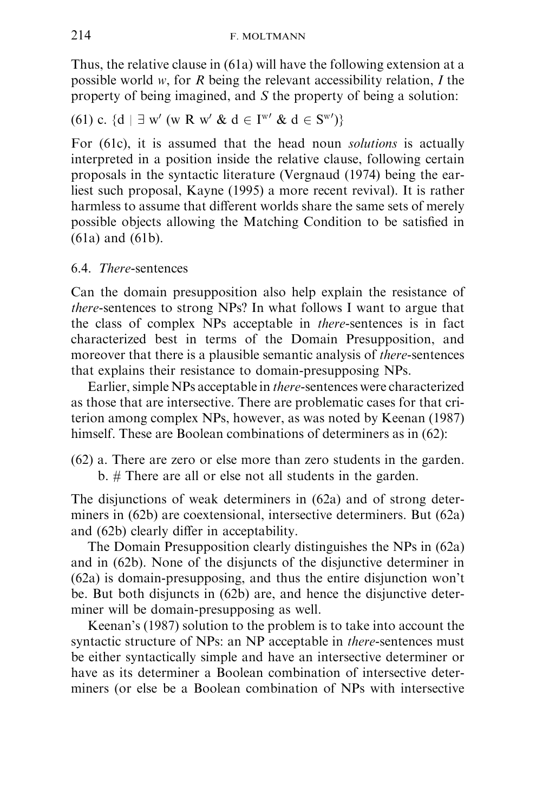Thus, the relative clause in (61a) will have the following extension at a possible world w, for R being the relevant accessibility relation, I the property of being imagined, and S the property of being a solution:

(61) c.  $\{d \mid \exists w' (w \in \mathbb{R} w' \& d \in I^{w'} \& d \in S^{w'})\}$ 

For (61c), it is assumed that the head noun *solutions* is actually interpreted in a position inside the relative clause, following certain proposals in the syntactic literature (Vergnaud (1974) being the earliest such proposal, Kayne (1995) a more recent revival). It is rather harmless to assume that different worlds share the same sets of merely possible objects allowing the Matching Condition to be satisfied in (61a) and (61b).

# 6.4. There-sentences

Can the domain presupposition also help explain the resistance of there-sentences to strong NPs? In what follows I want to argue that the class of complex NPs acceptable in there-sentences is in fact characterized best in terms of the Domain Presupposition, and moreover that there is a plausible semantic analysis of *there*-sentences that explains their resistance to domain-presupposing NPs.

Earlier, simple NPs acceptable in there-sentences were characterized as those that are intersective. There are problematic cases for that criterion among complex NPs, however, as was noted by Keenan (1987) himself. These are Boolean combinations of determiners as in (62):

(62) a. There are zero or else more than zero students in the garden. b. # There are all or else not all students in the garden.

The disjunctions of weak determiners in (62a) and of strong determiners in (62b) are coextensional, intersective determiners. But (62a) and (62b) clearly differ in acceptability.

The Domain Presupposition clearly distinguishes the NPs in (62a) and in (62b). None of the disjuncts of the disjunctive determiner in (62a) is domain-presupposing, and thus the entire disjunction won't be. But both disjuncts in (62b) are, and hence the disjunctive determiner will be domain-presupposing as well.

Keenan's (1987) solution to the problem is to take into account the syntactic structure of NPs: an NP acceptable in there-sentences must be either syntactically simple and have an intersective determiner or have as its determiner a Boolean combination of intersective determiners (or else be a Boolean combination of NPs with intersective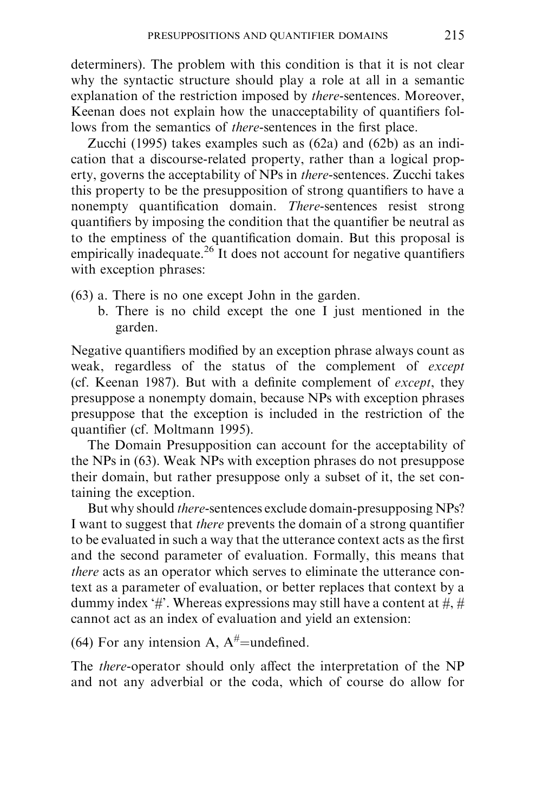determiners). The problem with this condition is that it is not clear why the syntactic structure should play a role at all in a semantic explanation of the restriction imposed by there-sentences. Moreover, Keenan does not explain how the unacceptability of quantifiers follows from the semantics of there-sentences in the first place.

Zucchi (1995) takes examples such as (62a) and (62b) as an indication that a discourse-related property, rather than a logical property, governs the acceptability of NPs in there-sentences. Zucchi takes this property to be the presupposition of strong quantifiers to have a nonempty quantification domain. There-sentences resist strong quantifiers by imposing the condition that the quantifier be neutral as to the emptiness of the quantification domain. But this proposal is empirically inadequate.<sup>26</sup> It does not account for negative quantifiers with exception phrases:

- (63) a. There is no one except John in the garden.
	- b. There is no child except the one I just mentioned in the garden.

Negative quantifiers modified by an exception phrase always count as weak, regardless of the status of the complement of except (cf. Keenan 1987). But with a definite complement of except, they presuppose a nonempty domain, because NPs with exception phrases presuppose that the exception is included in the restriction of the quantifier (cf. Moltmann 1995).

The Domain Presupposition can account for the acceptability of the NPs in (63). Weak NPs with exception phrases do not presuppose their domain, but rather presuppose only a subset of it, the set containing the exception.

But why should there-sentences exclude domain-presupposing NPs? I want to suggest that *there* prevents the domain of a strong quantifier to be evaluated in such a way that the utterance context acts as the first and the second parameter of evaluation. Formally, this means that there acts as an operator which serves to eliminate the utterance context as a parameter of evaluation, or better replaces that context by a dummy index '#'. Whereas expressions may still have a content at  $\#$ ,  $\#$ cannot act as an index of evaluation and yield an extension:

(64) For any intension A,  $A^{\#}$ =undefined.

The there-operator should only affect the interpretation of the NP and not any adverbial or the coda, which of course do allow for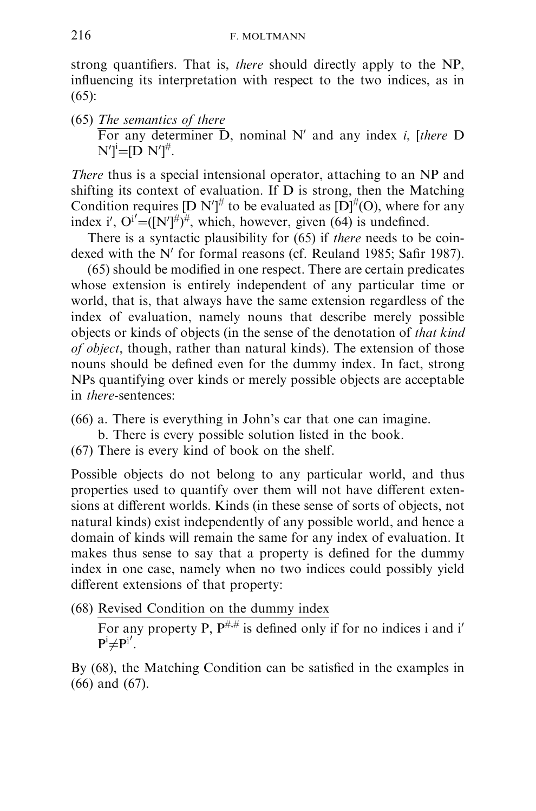strong quantifiers. That is, there should directly apply to the NP, influencing its interpretation with respect to the two indices, as in  $(65)$ :

- (65) The semantics of there
	- For any determiner D, nominal N' and any index i, [there D  $N'$ ] $^i$  =  $[D N']^{\#}$ .

There thus is a special intensional operator, attaching to an NP and shifting its context of evaluation. If D is strong, then the Matching Condition requires [D N']<sup>#</sup> to be evaluated as [D]<sup>#</sup>(O), where for any index i',  $O^{i'} = ([N']^{\#})^{\#}$ , which, however, given (64) is undefined.

There is a syntactic plausibility for (65) if *there* needs to be coindexed with the  $N'$  for formal reasons (cf. Reuland 1985; Safir 1987).

(65) should be modified in one respect. There are certain predicates whose extension is entirely independent of any particular time or world, that is, that always have the same extension regardless of the index of evaluation, namely nouns that describe merely possible objects or kinds of objects (in the sense of the denotation of that kind of object, though, rather than natural kinds). The extension of those nouns should be defined even for the dummy index. In fact, strong NPs quantifying over kinds or merely possible objects are acceptable in there-sentences:

- (66) a. There is everything in John's car that one can imagine.
	- b. There is every possible solution listed in the book.
- (67) There is every kind of book on the shelf.

Possible objects do not belong to any particular world, and thus properties used to quantify over them will not have different extensions at different worlds. Kinds (in these sense of sorts of objects, not natural kinds) exist independently of any possible world, and hence a domain of kinds will remain the same for any index of evaluation. It makes thus sense to say that a property is defined for the dummy index in one case, namely when no two indices could possibly yield different extensions of that property:

(68) Revised Condition on the dummy index

For any property P,  $P^{\#,\#}$  is defined only if for no indices i and i'  $P^i \neq P^{i'}$ .

By (68), the Matching Condition can be satisfied in the examples in (66) and (67).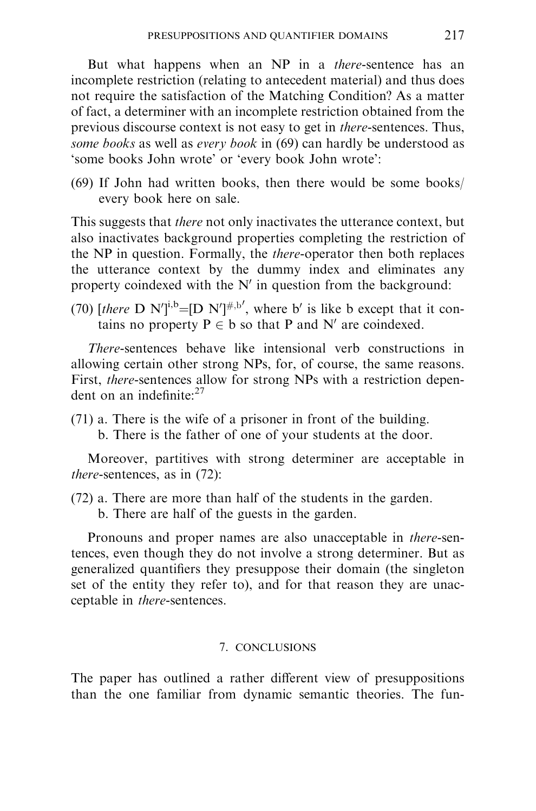But what happens when an NP in a *there*-sentence has an incomplete restriction (relating to antecedent material) and thus does not require the satisfaction of the Matching Condition? As a matter of fact, a determiner with an incomplete restriction obtained from the previous discourse context is not easy to get in there-sentences. Thus, some books as well as every book in (69) can hardly be understood as 'some books John wrote' or 'every book John wrote':

(69) If John had written books, then there would be some books/ every book here on sale.

This suggests that *there* not only inactivates the utterance context, but also inactivates background properties completing the restriction of the NP in question. Formally, the there-operator then both replaces the utterance context by the dummy index and eliminates any property coindexed with the  $N'$  in question from the background:

(70) [there D N']<sup>i,b</sup>=[D N']<sup>#,b'</sup>, where b' is like b except that it contains no property  $P \in b$  so that P and N' are coindexed.

There-sentences behave like intensional verb constructions in allowing certain other strong NPs, for, of course, the same reasons. First, there-sentences allow for strong NPs with a restriction dependent on an indefinite:<sup>27</sup>

- (71) a. There is the wife of a prisoner in front of the building.
	- b. There is the father of one of your students at the door.

Moreover, partitives with strong determiner are acceptable in there-sentences, as in (72):

(72) a. There are more than half of the students in the garden. b. There are half of the guests in the garden.

Pronouns and proper names are also unacceptable in there-sentences, even though they do not involve a strong determiner. But as generalized quantifiers they presuppose their domain (the singleton set of the entity they refer to), and for that reason they are unacceptable in there-sentences.

### 7. CONCLUSIONS

The paper has outlined a rather different view of presuppositions than the one familiar from dynamic semantic theories. The fun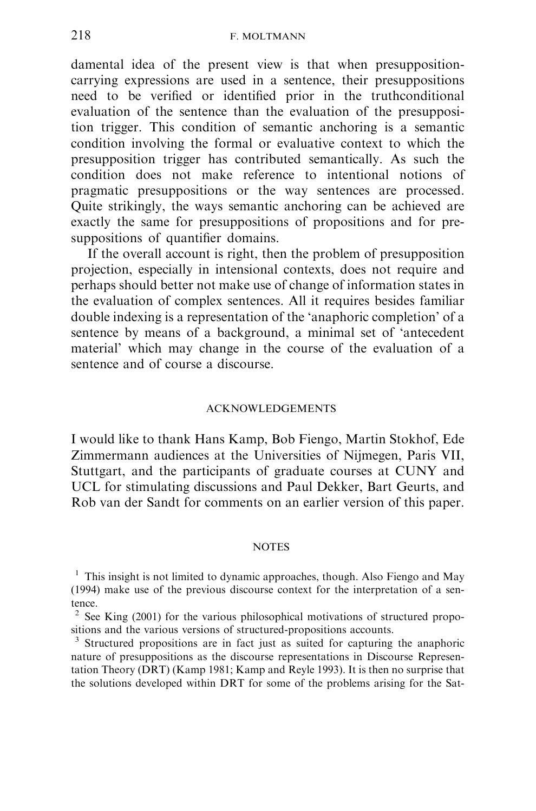damental idea of the present view is that when presuppositioncarrying expressions are used in a sentence, their presuppositions need to be verified or identified prior in the truthconditional evaluation of the sentence than the evaluation of the presupposition trigger. This condition of semantic anchoring is a semantic condition involving the formal or evaluative context to which the presupposition trigger has contributed semantically. As such the condition does not make reference to intentional notions of pragmatic presuppositions or the way sentences are processed. Quite strikingly, the ways semantic anchoring can be achieved are exactly the same for presuppositions of propositions and for presuppositions of quantifier domains.

If the overall account is right, then the problem of presupposition projection, especially in intensional contexts, does not require and perhaps should better not make use of change of information states in the evaluation of complex sentences. All it requires besides familiar double indexing is a representation of the 'anaphoric completion' of a sentence by means of a background, a minimal set of 'antecedent material' which may change in the course of the evaluation of a sentence and of course a discourse.

#### ACKNOWLEDGEMENTS

I would like to thank Hans Kamp, Bob Fiengo, Martin Stokhof, Ede Zimmermann audiences at the Universities of Nijmegen, Paris VII, Stuttgart, and the participants of graduate courses at CUNY and UCL for stimulating discussions and Paul Dekker, Bart Geurts, and Rob van der Sandt for comments on an earlier version of this paper.

#### **NOTES**

<sup>1</sup> This insight is not limited to dynamic approaches, though. Also Fiengo and May (1994) make use of the previous discourse context for the interpretation of a sentence.

 $2\text{ See King } (2001)$  for the various philosophical motivations of structured propositions and the various versions of structured-propositions accounts.

<sup>3</sup> Structured propositions are in fact just as suited for capturing the anaphoric nature of presuppositions as the discourse representations in Discourse Representation Theory (DRT) (Kamp 1981; Kamp and Reyle 1993). It is then no surprise that the solutions developed within DRT for some of the problems arising for the Sat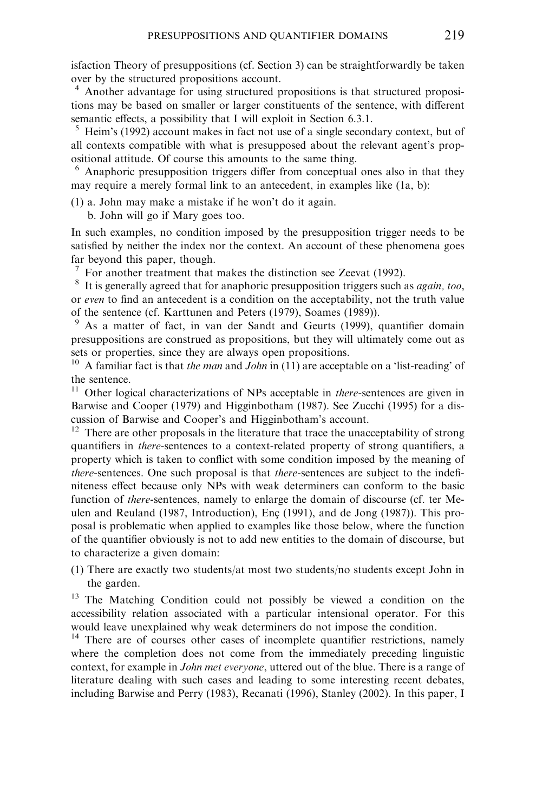isfaction Theory of presuppositions (cf. Section 3) can be straightforwardly be taken over by the structured propositions account.

<sup>4</sup> Another advantage for using structured propositions is that structured propositions may be based on smaller or larger constituents of the sentence, with different semantic effects, a possibility that I will exploit in Section 6.3.1.

 $5$  Heim's (1992) account makes in fact not use of a single secondary context, but of all contexts compatible with what is presupposed about the relevant agent's propositional attitude. Of course this amounts to the same thing.

<sup>6</sup> Anaphoric presupposition triggers differ from conceptual ones also in that they may require a merely formal link to an antecedent, in examples like (1a, b):

(1) a. John may make a mistake if he won't do it again.

b. John will go if Mary goes too.

In such examples, no condition imposed by the presupposition trigger needs to be satisfied by neither the index nor the context. An account of these phenomena goes far beyond this paper, though.<br> $\frac{7}{7}$  For another treatment that makes the distinction see Zeevat (1992).

 $8\,$  It is generally agreed that for anaphoric presupposition triggers such as *again*, too, or even to find an antecedent is a condition on the acceptability, not the truth value of the sentence (cf. Karttunen and Peters (1979), Soames (1989)).

<sup>9</sup> As a matter of fact, in van der Sandt and Geurts (1999), quantifier domain presuppositions are construed as propositions, but they will ultimately come out as sets or properties, since they are always open propositions.

<sup>10</sup> A familiar fact is that the man and John in (11) are acceptable on a 'list-reading' of the sentence.

<sup>11</sup> Other logical characterizations of NPs acceptable in *there*-sentences are given in Barwise and Cooper (1979) and Higginbotham (1987). See Zucchi (1995) for a discussion of Barwise and Cooper's and Higginbotham's account.

 $12$  There are other proposals in the literature that trace the unacceptability of strong quantifiers in there-sentences to a context-related property of strong quantifiers, a property which is taken to conflict with some condition imposed by the meaning of there-sentences. One such proposal is that there-sentences are subject to the indefiniteness effect because only NPs with weak determiners can conform to the basic function of *there-sentences*, namely to enlarge the domain of discourse (cf. ter Meulen and Reuland (1987, Introduction), Enc (1991), and de Jong (1987)). This proposal is problematic when applied to examples like those below, where the function of the quantifier obviously is not to add new entities to the domain of discourse, but to characterize a given domain:

(1) There are exactly two students/at most two students/no students except John in the garden.

<sup>13</sup> The Matching Condition could not possibly be viewed a condition on the accessibility relation associated with a particular intensional operator. For this would leave unexplained why weak determiners do not impose the condition.

<sup>14</sup> There are of courses other cases of incomplete quantifier restrictions, namely where the completion does not come from the immediately preceding linguistic context, for example in *John met everyone*, uttered out of the blue. There is a range of literature dealing with such cases and leading to some interesting recent debates, including Barwise and Perry (1983), Recanati (1996), Stanley (2002). In this paper, I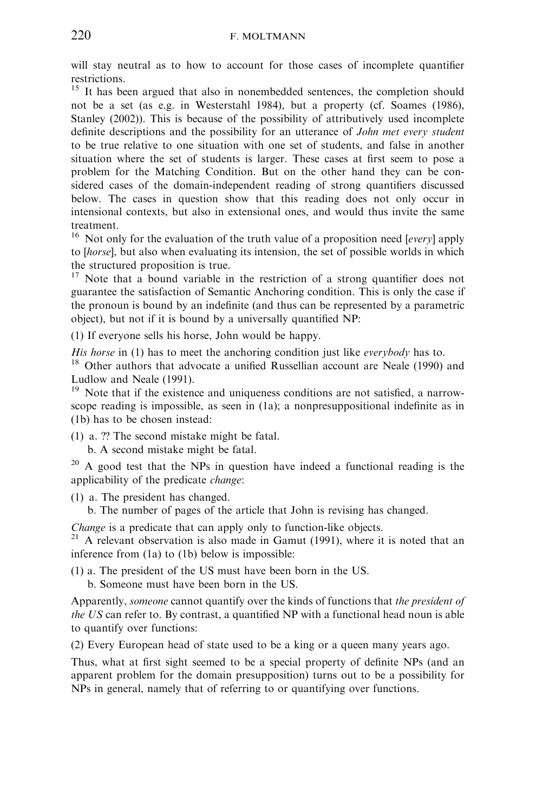will stay neutral as to how to account for those cases of incomplete quantifier restrictions.

<sup>15</sup> It has been argued that also in nonembedded sentences, the completion should not be a set (as e.g. in Westerstahl 1984), but a property (cf. Soames (1986), Stanley (2002)). This is because of the possibility of attributively used incomplete definite descriptions and the possibility for an utterance of *John met every student* to be true relative to one situation with one set of students, and false in another situation where the set of students is larger. These cases at first seem to pose a problem for the Matching Condition. But on the other hand they can be considered cases of the domain-independent reading of strong quantifiers discussed below. The cases in question show that this reading does not only occur in intensional contexts, but also in extensional ones, and would thus invite the same treatment.

 $16$  Not only for the evaluation of the truth value of a proposition need [every] apply to [horse], but also when evaluating its intension, the set of possible worlds in which the structured proposition is true.

 $17$  Note that a bound variable in the restriction of a strong quantifier does not guarantee the satisfaction of Semantic Anchoring condition. This is only the case if the pronoun is bound by an indefinite (and thus can be represented by a parametric object), but not if it is bound by a universally quantified NP:

(1) If everyone sells his horse, John would be happy.

His horse in (1) has to meet the anchoring condition just like *everybody* has to. <sup>18</sup> Other authors that advocate a unified Russellian account are Neale (1990) and Ludlow and Neale (1991).

<sup>19</sup> Note that if the existence and uniqueness conditions are not satisfied, a narrowscope reading is impossible, as seen in (1a); a nonpresuppositional indefinite as in (1b) has to be chosen instead:

(1) a. ?? The second mistake might be fatal.

b. A second mistake might be fatal.

<sup>20</sup> A good test that the NPs in question have indeed a functional reading is the applicability of the predicate change:

(1) a. The president has changed.

b. The number of pages of the article that John is revising has changed.

*Change* is a predicate that can apply only to function-like objects.<br><sup>21</sup> A relevant observation is also made in Gamut (1991), where it is noted that an inference from (1a) to (1b) below is impossible:

(1) a. The president of the US must have been born in the US.

b. Someone must have been born in the US.

Apparently, someone cannot quantify over the kinds of functions that the president of the US can refer to. By contrast, a quantified NP with a functional head noun is able to quantify over functions:

(2) Every European head of state used to be a king or a queen many years ago.

Thus, what at first sight seemed to be a special property of definite NPs (and an apparent problem for the domain presupposition) turns out to be a possibility for NPs in general, namely that of referring to or quantifying over functions.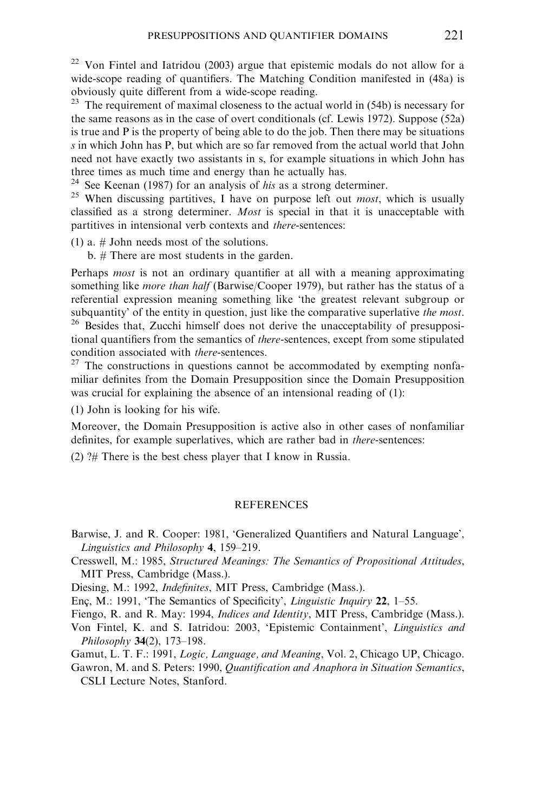$22$  Von Fintel and Iatridou (2003) argue that epistemic modals do not allow for a wide-scope reading of quantifiers. The Matching Condition manifested in (48a) is obviously quite different from a wide-scope reading.

 $23$  The requirement of maximal closeness to the actual world in (54b) is necessary for the same reasons as in the case of overt conditionals (cf. Lewis 1972). Suppose (52a) is true and P is the property of being able to do the job. Then there may be situations s in which John has P, but which are so far removed from the actual world that John need not have exactly two assistants in s, for example situations in which John has three times as much time and energy than he actually has.<br><sup>24</sup> See Keenan (1987) for an analysis of *his* as a strong determiner.

<sup>25</sup> When discussing partitives, I have on purpose left out *most*, which is usually classified as a strong determiner. Most is special in that it is unacceptable with partitives in intensional verb contexts and *there*-sentences:

(1) a.  $\#$  John needs most of the solutions.

b. # There are most students in the garden.

Perhaps most is not an ordinary quantifier at all with a meaning approximating something like *more than half* (Barwise/Cooper 1979), but rather has the status of a referential expression meaning something like 'the greatest relevant subgroup or subquantity' of the entity in question, just like the comparative superlative the most.<br><sup>26</sup> Besides that, Zucchi himself does not derive the unacceptability of presuppositional quantifiers from the semantics of there-sentences, except from some stipulated condition associated with *there*-sentences.<br><sup>27</sup> The constructions in questions cannot be accommodated by exempting nonfa-

miliar definites from the Domain Presupposition since the Domain Presupposition was crucial for explaining the absence of an intensional reading of (1):

(1) John is looking for his wife.

Moreover, the Domain Presupposition is active also in other cases of nonfamiliar definites, for example superlatives, which are rather bad in there-sentences:

(2) ?# There is the best chess player that I know in Russia.

#### REFERENCES

- Barwise, J. and R. Cooper: 1981, 'Generalized Quantifiers and Natural Language', Linguistics and Philosophy 4, 159–219.
- Cresswell, M.: 1985, Structured Meanings: The Semantics of Propositional Attitudes, MIT Press, Cambridge (Mass.).
- Diesing, M.: 1992, *Indefinites*, MIT Press, Cambridge (Mass.).

Enc, M.: 1991, 'The Semantics of Specificity', Linguistic Inquiry 22, 1–55.

- Fiengo, R. and R. May: 1994, *Indices and Identity*, MIT Press, Cambridge (Mass.).
- Von Fintel, K. and S. Iatridou: 2003, 'Epistemic Containment', Linguistics and Philosophy 34(2), 173–198.

Gamut, L. T. F.: 1991, Logic, Language, and Meaning, Vol. 2, Chicago UP, Chicago.

Gawron, M. and S. Peters: 1990, Quantification and Anaphora in Situation Semantics, CSLI Lecture Notes, Stanford.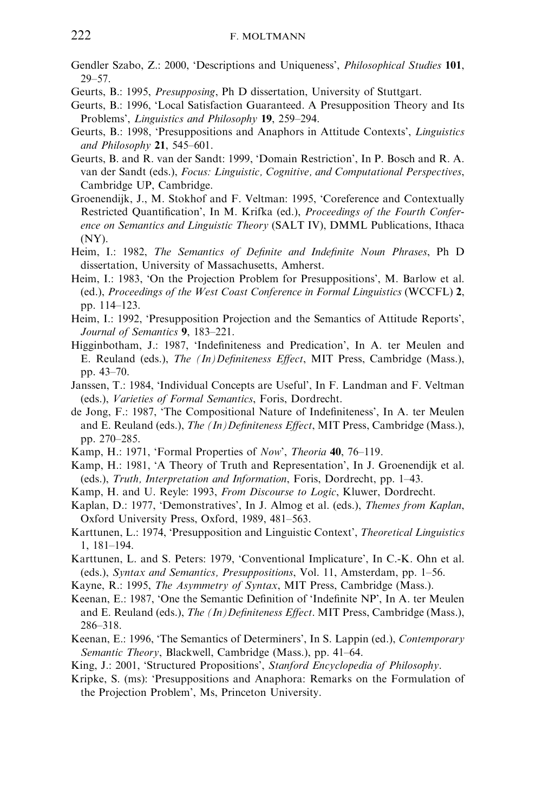- Gendler Szabo, Z.: 2000, 'Descriptions and Uniqueness', Philosophical Studies 101, 29–57.
- Geurts, B.: 1995, *Presupposing*, Ph D dissertation, University of Stuttgart.
- Geurts, B.: 1996, 'Local Satisfaction Guaranteed. A Presupposition Theory and Its Problems', Linguistics and Philosophy 19, 259–294.
- Geurts, B.: 1998, 'Presuppositions and Anaphors in Attitude Contexts', Linguistics and Philosophy 21, 545–601.
- Geurts, B. and R. van der Sandt: 1999, 'Domain Restriction', In P. Bosch and R. A. van der Sandt (eds.), Focus: Linguistic, Cognitive, and Computational Perspectives, Cambridge UP, Cambridge.
- Groenendijk, J., M. Stokhof and F. Veltman: 1995, 'Coreference and Contextually Restricted Quantification', In M. Krifka (ed.), Proceedings of the Fourth Conference on Semantics and Linguistic Theory (SALT IV), DMML Publications, Ithaca (NY).
- Heim, I.: 1982, The Semantics of Definite and Indefinite Noun Phrases, Ph D dissertation, University of Massachusetts, Amherst.
- Heim, I.: 1983, 'On the Projection Problem for Presuppositions', M. Barlow et al. (ed.), Proceedings of the West Coast Conference in Formal Linguistics (WCCFL) 2, pp. 114–123.
- Heim, I.: 1992, 'Presupposition Projection and the Semantics of Attitude Reports', Journal of Semantics 9, 183–221.
- Higginbotham, J.: 1987, 'Indefiniteness and Predication', In A. ter Meulen and E. Reuland (eds.), The (In)Definiteness Effect, MIT Press, Cambridge (Mass.), pp. 43–70.
- Janssen, T.: 1984, 'Individual Concepts are Useful', In F. Landman and F. Veltman (eds.), Varieties of Formal Semantics, Foris, Dordrecht.
- de Jong, F.: 1987, 'The Compositional Nature of Indefiniteness', In A. ter Meulen and E. Reuland (eds.), *The (In)Definiteness Effect*, MIT Press, Cambridge (Mass.), pp. 270–285.
- Kamp, H.: 1971, 'Formal Properties of Now', Theoria 40, 76–119.
- Kamp, H.: 1981, 'A Theory of Truth and Representation', In J. Groenendijk et al. (eds.), Truth, Interpretation and Information, Foris, Dordrecht, pp. 1–43.
- Kamp, H. and U. Reyle: 1993, From Discourse to Logic, Kluwer, Dordrecht.
- Kaplan, D.: 1977, 'Demonstratives', In J. Almog et al. (eds.), *Themes from Kaplan*, Oxford University Press, Oxford, 1989, 481–563.
- Karttunen, L.: 1974, 'Presupposition and Linguistic Context', Theoretical Linguistics 1, 181–194.
- Karttunen, L. and S. Peters: 1979, 'Conventional Implicature', In C.-K. Ohn et al. (eds.), Syntax and Semantics, Presuppositions, Vol. 11, Amsterdam, pp. 1–56.
- Kayne, R.: 1995, The Asymmetry of Syntax, MIT Press, Cambridge (Mass.).
- Keenan, E.: 1987, 'One the Semantic Definition of 'Indefinite NP', In A. ter Meulen and E. Reuland (eds.), The (In) Definiteness Effect. MIT Press, Cambridge (Mass.), 286–318.
- Keenan, E.: 1996, 'The Semantics of Determiners', In S. Lappin (ed.), *Contemporary* Semantic Theory, Blackwell, Cambridge (Mass.), pp. 41–64.
- King, J.: 2001, 'Structured Propositions', Stanford Encyclopedia of Philosophy.
- Kripke, S. (ms): 'Presuppositions and Anaphora: Remarks on the Formulation of the Projection Problem', Ms, Princeton University.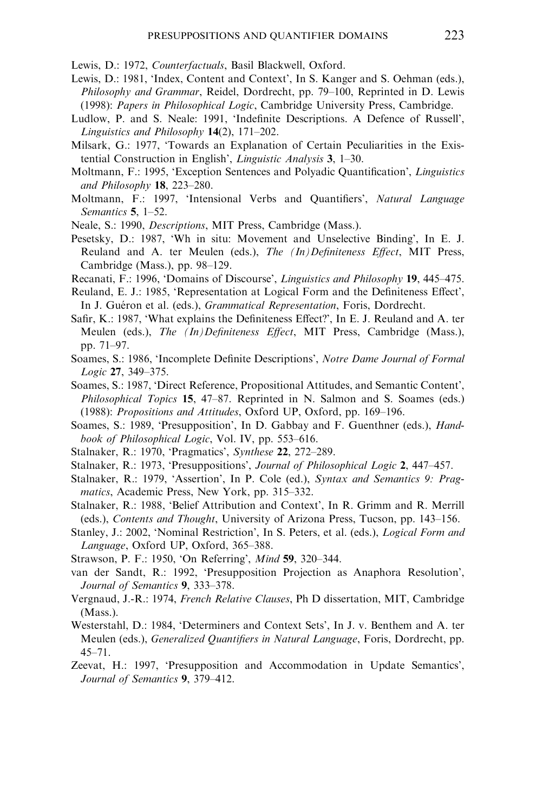- Lewis, D.: 1972, Counterfactuals, Basil Blackwell, Oxford.
- Lewis, D.: 1981, 'Index, Content and Context', In S. Kanger and S. Oehman (eds.), Philosophy and Grammar, Reidel, Dordrecht, pp. 79–100, Reprinted in D. Lewis (1998): Papers in Philosophical Logic, Cambridge University Press, Cambridge.
- Ludlow, P. and S. Neale: 1991, 'Indefinite Descriptions. A Defence of Russell', Linguistics and Philosophy 14(2), 171–202.
- Milsark, G.: 1977, 'Towards an Explanation of Certain Peculiarities in the Existential Construction in English', Linguistic Analysis 3, 1–30.
- Moltmann, F.: 1995, 'Exception Sentences and Polyadic Quantification', Linguistics and Philosophy 18, 223–280.
- Moltmann, F.: 1997, 'Intensional Verbs and Quantifiers', Natural Language Semantics 5, 1–52.
- Neale, S.: 1990, *Descriptions*, MIT Press, Cambridge (Mass.).
- Pesetsky, D.: 1987, 'Wh in situ: Movement and Unselective Binding', In E. J. Reuland and A. ter Meulen (eds.), The (In)Definiteness Effect, MIT Press, Cambridge (Mass.), pp. 98–129.
- Recanati, F.: 1996, 'Domains of Discourse', Linguistics and Philosophy 19, 445–475.
- Reuland, E. J.: 1985, 'Representation at Logical Form and the Definiteness Effect', In J. Guéron et al. (eds.), *Grammatical Representation*, Foris, Dordrecht.
- Safir, K.: 1987, 'What explains the Definiteness Effect?', In E. J. Reuland and A. ter Meulen (eds.), *The (In)Definiteness Effect*, MIT Press, Cambridge (Mass.), pp. 71–97.
- Soames, S.: 1986, 'Incomplete Definite Descriptions', Notre Dame Journal of Formal Logic 27, 349–375.
- Soames, S.: 1987, 'Direct Reference, Propositional Attitudes, and Semantic Content', Philosophical Topics 15, 47–87. Reprinted in N. Salmon and S. Soames (eds.) (1988): Propositions and Attitudes, Oxford UP, Oxford, pp. 169–196.
- Soames, S.: 1989, 'Presupposition', In D. Gabbay and F. Guenthner (eds.), Handbook of Philosophical Logic, Vol. IV, pp. 553–616.
- Stalnaker, R.: 1970, 'Pragmatics', Synthese 22, 272–289.
- Stalnaker, R.: 1973, 'Presuppositions', Journal of Philosophical Logic 2, 447–457.
- Stalnaker, R.: 1979, 'Assertion', In P. Cole (ed.), Syntax and Semantics 9: Pragmatics, Academic Press, New York, pp. 315–332.
- Stalnaker, R.: 1988, 'Belief Attribution and Context', In R. Grimm and R. Merrill (eds.), Contents and Thought, University of Arizona Press, Tucson, pp. 143–156.
- Stanley, J.: 2002, 'Nominal Restriction', In S. Peters, et al. (eds.), *Logical Form and* Language, Oxford UP, Oxford, 365–388.
- Strawson, P. F.: 1950, 'On Referring', *Mind* 59, 320–344.
- van der Sandt, R.: 1992, 'Presupposition Projection as Anaphora Resolution', Journal of Semantics 9, 333–378.
- Vergnaud, J.-R.: 1974, French Relative Clauses, Ph D dissertation, MIT, Cambridge (Mass.).
- Westerstahl, D.: 1984, 'Determiners and Context Sets', In J. v. Benthem and A. ter Meulen (eds.), Generalized Quantifiers in Natural Language, Foris, Dordrecht, pp. 45–71.
- Zeevat, H.: 1997, 'Presupposition and Accommodation in Update Semantics', Journal of Semantics 9, 379–412.